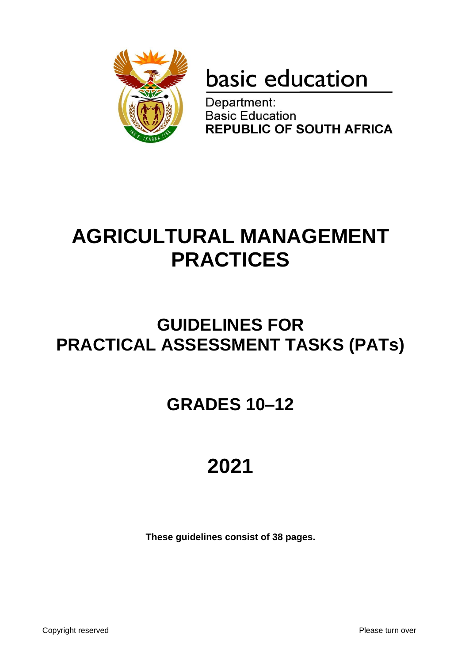

# basic education

Department: **Basic Education REPUBLIC OF SOUTH AFRICA** 

# **AGRICULTURAL MANAGEMENT PRACTICES**

# **GUIDELINES FOR PRACTICAL ASSESSMENT TASKS (PATs)**

# **GRADES 10–12**

# **2021**

**These guidelines consist of 38 pages.**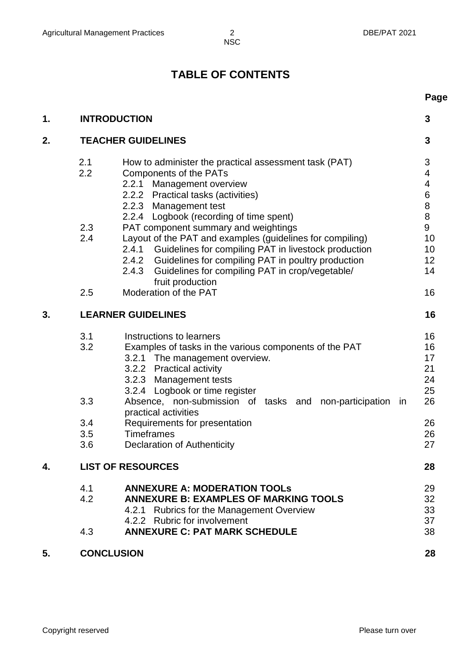# **TABLE OF CONTENTS**

|    |                                        |                                                                                                                                                                                                                                                                                                                                                                                                  | Page                                                     |
|----|----------------------------------------|--------------------------------------------------------------------------------------------------------------------------------------------------------------------------------------------------------------------------------------------------------------------------------------------------------------------------------------------------------------------------------------------------|----------------------------------------------------------|
| 1. | <b>INTRODUCTION</b>                    |                                                                                                                                                                                                                                                                                                                                                                                                  | 3                                                        |
| 2. | <b>TEACHER GUIDELINES</b>              |                                                                                                                                                                                                                                                                                                                                                                                                  | 3                                                        |
|    | 2.1<br>2.2                             | How to administer the practical assessment task (PAT)<br><b>Components of the PATs</b><br>2.2.1<br>Management overview<br>2.2.2 Practical tasks (activities)<br>2.2.3 Management test                                                                                                                                                                                                            | 3<br>4<br>$\overline{\mathbf{4}}$<br>6<br>8              |
|    | 2.3<br>2.4                             | 2.2.4 Logbook (recording of time spent)<br>PAT component summary and weightings<br>Layout of the PAT and examples (guidelines for compiling)<br>2.4.1 Guidelines for compiling PAT in livestock production<br>2.4.2 Guidelines for compiling PAT in poultry production<br>Guidelines for compiling PAT in crop/vegetable/<br>2.4.3<br>fruit production                                           | 8<br>9<br>10<br>10<br>12<br>14                           |
|    | 2.5                                    | Moderation of the PAT                                                                                                                                                                                                                                                                                                                                                                            | 16                                                       |
| 3. |                                        | <b>LEARNER GUIDELINES</b>                                                                                                                                                                                                                                                                                                                                                                        | 16                                                       |
|    | 3.1<br>3.2<br>3.3<br>3.4<br>3.5<br>3.6 | Instructions to learners<br>Examples of tasks in the various components of the PAT<br>3.2.1 The management overview.<br>3.2.2 Practical activity<br>3.2.3 Management tests<br>3.2.4 Logbook or time register<br>Absence, non-submission of tasks and non-participation<br>in<br>practical activities<br>Requirements for presentation<br><b>Timeframes</b><br><b>Declaration of Authenticity</b> | 16<br>16<br>17<br>21<br>24<br>25<br>26<br>26<br>26<br>27 |
| 4. |                                        | <b>LIST OF RESOURCES</b>                                                                                                                                                                                                                                                                                                                                                                         | 28                                                       |
|    | 4.1<br>4.2<br>4.3                      | <b>ANNEXURE A: MODERATION TOOLS</b><br><b>ANNEXURE B: EXAMPLES OF MARKING TOOLS</b><br>4.2.1 Rubrics for the Management Overview<br>4.2.2 Rubric for involvement<br><b>ANNEXURE C: PAT MARK SCHEDULE</b>                                                                                                                                                                                         | 29<br>32<br>33<br>37<br>38                               |
| 5. | <b>CONCLUSION</b>                      |                                                                                                                                                                                                                                                                                                                                                                                                  | 28                                                       |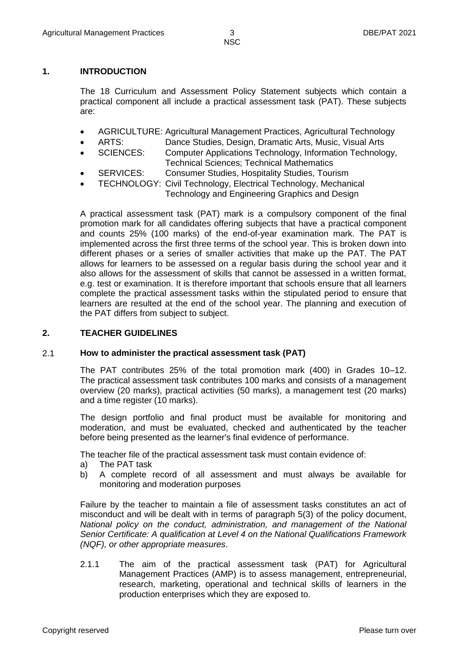#### **1. INTRODUCTION**

The 18 Curriculum and Assessment Policy Statement subjects which contain a practical component all include a practical assessment task (PAT). These subjects are:

- AGRICULTURE: Agricultural Management Practices, Agricultural Technology
- ARTS: Dance Studies, Design, Dramatic Arts, Music, Visual Arts
- SCIENCES: Computer Applications Technology, Information Technology, Technical Sciences; Technical Mathematics
- SERVICES: Consumer Studies, Hospitality Studies, Tourism
- TECHNOLOGY: Civil Technology, Electrical Technology, Mechanical
	- Technology and Engineering Graphics and Design

A practical assessment task (PAT) mark is a compulsory component of the final promotion mark for all candidates offering subjects that have a practical component and counts 25% (100 marks) of the end-of-year examination mark. The PAT is implemented across the first three terms of the school year. This is broken down into different phases or a series of smaller activities that make up the PAT. The PAT allows for learners to be assessed on a regular basis during the school year and it also allows for the assessment of skills that cannot be assessed in a written format, e.g. test or examination. It is therefore important that schools ensure that all learners complete the practical assessment tasks within the stipulated period to ensure that learners are resulted at the end of the school year. The planning and execution of the PAT differs from subject to subject.

#### **2. TEACHER GUIDELINES**

#### 2.1 **How to administer the practical assessment task (PAT)**

The PAT contributes 25% of the total promotion mark (400) in Grades 10–12. The practical assessment task contributes 100 marks and consists of a management overview (20 marks), practical activities (50 marks), a management test (20 marks) and a time register (10 marks).

The design portfolio and final product must be available for monitoring and moderation, and must be evaluated, checked and authenticated by the teacher before being presented as the learner's final evidence of performance.

The teacher file of the practical assessment task must contain evidence of:

- a) The PAT task
- b) A complete record of all assessment and must always be available for monitoring and moderation purposes

Failure by the teacher to maintain a file of assessment tasks constitutes an act of misconduct and will be dealt with in terms of paragraph 5(3) of the policy document, *National policy on the conduct, administration, and management of the National Senior Certificate: A qualification at Level 4 on the National Qualifications Framework (NQF), or other appropriate measures*.

2.1.1 The aim of the practical assessment task (PAT) for Agricultural Management Practices (AMP) is to assess management, entrepreneurial, research, marketing, operational and technical skills of learners in the production enterprises which they are exposed to.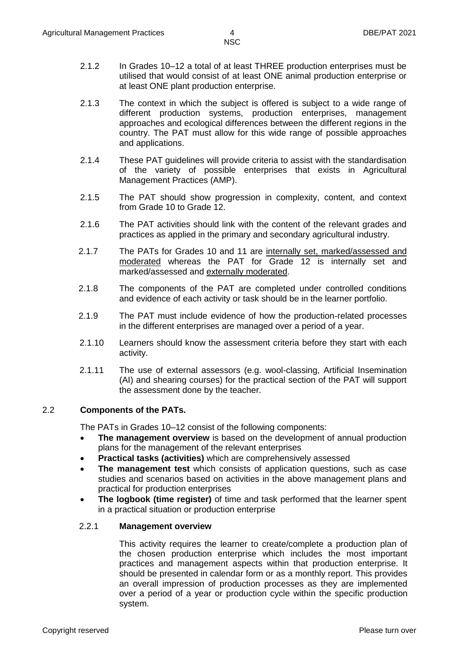2.1.2 In Grades 10–12 a total of at least THREE production enterprises must be utilised that would consist of at least ONE animal production enterprise or at least ONE plant production enterprise.

- 2.1.3 The context in which the subject is offered is subject to a wide range of different production systems, production enterprises, management approaches and ecological differences between the different regions in the country. The PAT must allow for this wide range of possible approaches and applications.
- 2.1.4 These PAT guidelines will provide criteria to assist with the standardisation of the variety of possible enterprises that exists in Agricultural Management Practices (AMP).
- 2.1.5 The PAT should show progression in complexity, content, and context from Grade 10 to Grade 12.
- 2.1.6 The PAT activities should link with the content of the relevant grades and practices as applied in the primary and secondary agricultural industry.
- 2.1.7 The PATs for Grades 10 and 11 are internally set, marked/assessed and moderated whereas the PAT for Grade 12 is internally set and marked/assessed and externally moderated.
- 2.1.8 The components of the PAT are completed under controlled conditions and evidence of each activity or task should be in the learner portfolio.
- 2.1.9 The PAT must include evidence of how the production-related processes in the different enterprises are managed over a period of a year.
- 2.1.10 Learners should know the assessment criteria before they start with each activity.
- 2.1.11 The use of external assessors (e.g. wool-classing, Artificial Insemination (AI) and shearing courses) for the practical section of the PAT will support the assessment done by the teacher.

#### 2.2 **Components of the PATs.**

The PATs in Grades 10–12 consist of the following components:

- **The management overview** is based on the development of annual production plans for the management of the relevant enterprises
- **Practical tasks (activities)** which are comprehensively assessed
- **The management test** which consists of application questions, such as case studies and scenarios based on activities in the above management plans and practical for production enterprises
- **The logbook (time register)** of time and task performed that the learner spent in a practical situation or production enterprise

#### 2.2.1 **Management overview**

This activity requires the learner to create/complete a production plan of the chosen production enterprise which includes the most important practices and management aspects within that production enterprise. It should be presented in calendar form or as a monthly report. This provides an overall impression of production processes as they are implemented over a period of a year or production cycle within the specific production system.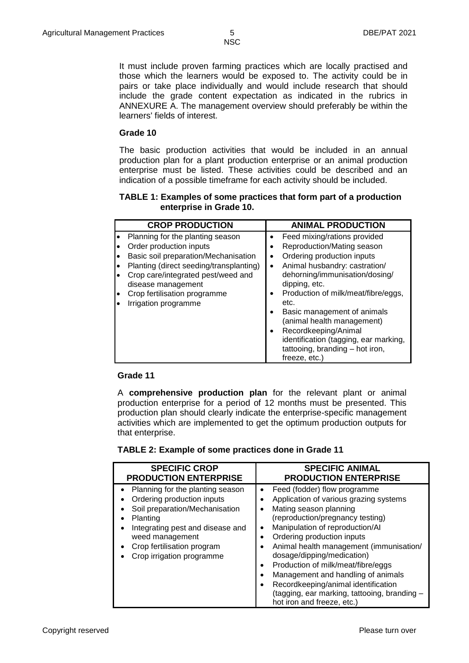It must include proven farming practices which are locally practised and those which the learners would be exposed to. The activity could be in pairs or take place individually and would include research that should include the grade content expectation as indicated in the rubrics in ANNEXURE A. The management overview should preferably be within the learners' fields of interest.

#### **Grade 10**

The basic production activities that would be included in an annual production plan for a plant production enterprise or an animal production enterprise must be listed. These activities could be described and an indication of a possible timeframe for each activity should be included.

#### **TABLE 1: Examples of some practices that form part of a production enterprise in Grade 10.**

| <b>CROP PRODUCTION</b>                                                                                                                                                                                                                                             | <b>ANIMAL PRODUCTION</b>                                                                                                                                                                                                                                                                                                                                                                                   |
|--------------------------------------------------------------------------------------------------------------------------------------------------------------------------------------------------------------------------------------------------------------------|------------------------------------------------------------------------------------------------------------------------------------------------------------------------------------------------------------------------------------------------------------------------------------------------------------------------------------------------------------------------------------------------------------|
| Planning for the planting season<br>Order production inputs<br>Basic soil preparation/Mechanisation<br>Planting (direct seeding/transplanting)<br>Crop care/integrated pest/weed and<br>disease management<br>Crop fertilisation programme<br>Irrigation programme | Feed mixing/rations provided<br>Reproduction/Mating season<br>٠<br>Ordering production inputs<br>Animal husbandry: castration/<br>$\bullet$<br>dehorning/immunisation/dosing/<br>dipping, etc.<br>Production of milk/meat/fibre/eggs,<br>٠<br>etc.<br>Basic management of animals<br>$\bullet$<br>(animal health management)<br>Recordkeeping/Animal<br>$\bullet$<br>identification (tagging, ear marking, |
|                                                                                                                                                                                                                                                                    | tattooing, branding - hot iron,<br>freeze, etc.)                                                                                                                                                                                                                                                                                                                                                           |

#### **Grade 11**

A **comprehensive production plan** for the relevant plant or animal production enterprise for a period of 12 months must be presented. This production plan should clearly indicate the enterprise-specific management activities which are implemented to get the optimum production outputs for that enterprise.

#### **TABLE 2: Example of some practices done in Grade 11**

| <b>SPECIFIC CROP</b>                                                                                                                                                                                                             | <b>SPECIFIC ANIMAL</b>                                                                                                                                                                                                                                                                                                                                                                                                                                                          |
|----------------------------------------------------------------------------------------------------------------------------------------------------------------------------------------------------------------------------------|---------------------------------------------------------------------------------------------------------------------------------------------------------------------------------------------------------------------------------------------------------------------------------------------------------------------------------------------------------------------------------------------------------------------------------------------------------------------------------|
| <b>PRODUCTION ENTERPRISE</b>                                                                                                                                                                                                     | <b>PRODUCTION ENTERPRISE</b>                                                                                                                                                                                                                                                                                                                                                                                                                                                    |
| • Planning for the planting season<br>Ordering production inputs<br>Soil preparation/Mechanisation<br>Planting<br>Integrating pest and disease and<br>weed management<br>Crop fertilisation program<br>Crop irrigation programme | Feed (fodder) flow programme<br>Application of various grazing systems<br>Mating season planning<br>(reproduction/pregnancy testing)<br>Manipulation of reproduction/AI<br>Ordering production inputs<br>Animal health management (immunisation/<br>dosage/dipping/medication)<br>Production of milk/meat/fibre/eggs<br>Management and handling of animals<br>Recordkeeping/animal identification<br>(tagging, ear marking, tattooing, branding -<br>hot iron and freeze, etc.) |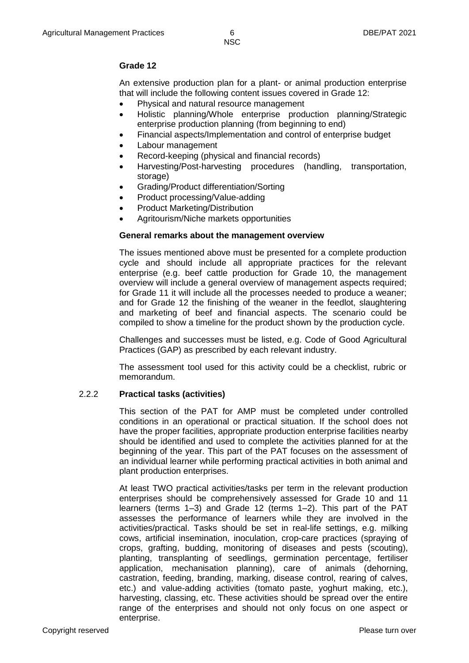#### **Grade 12**

An extensive production plan for a plant- or animal production enterprise that will include the following content issues covered in Grade 12:

- Physical and natural resource management
- Holistic planning/Whole enterprise production planning/Strategic enterprise production planning (from beginning to end)
- Financial aspects/Implementation and control of enterprise budget
- Labour management
- Record-keeping (physical and financial records)
- Harvesting/Post-harvesting procedures (handling, transportation, storage)
- Grading/Product differentiation/Sorting
- Product processing/Value-adding
- Product Marketing/Distribution
- Agritourism/Niche markets opportunities

#### **General remarks about the management overview**

The issues mentioned above must be presented for a complete production cycle and should include all appropriate practices for the relevant enterprise (e.g. beef cattle production for Grade 10, the management overview will include a general overview of management aspects required; for Grade 11 it will include all the processes needed to produce a weaner; and for Grade 12 the finishing of the weaner in the feedlot, slaughtering and marketing of beef and financial aspects. The scenario could be compiled to show a timeline for the product shown by the production cycle.

Challenges and successes must be listed, e.g. Code of Good Agricultural Practices (GAP) as prescribed by each relevant industry.

The assessment tool used for this activity could be a checklist, rubric or memorandum.

#### 2.2.2 **Practical tasks (activities)**

This section of the PAT for AMP must be completed under controlled conditions in an operational or practical situation. If the school does not have the proper facilities, appropriate production enterprise facilities nearby should be identified and used to complete the activities planned for at the beginning of the year. This part of the PAT focuses on the assessment of an individual learner while performing practical activities in both animal and plant production enterprises.

At least TWO practical activities/tasks per term in the relevant production enterprises should be comprehensively assessed for Grade 10 and 11 learners (terms 1–3) and Grade 12 (terms 1–2). This part of the PAT assesses the performance of learners while they are involved in the activities/practical. Tasks should be set in real-life settings, e.g. milking cows, artificial insemination, inoculation, crop-care practices (spraying of crops, grafting, budding, monitoring of diseases and pests (scouting), planting, transplanting of seedlings, germination percentage, fertiliser application, mechanisation planning), care of animals (dehorning, castration, feeding, branding, marking, disease control, rearing of calves, etc.) and value-adding activities (tomato paste, yoghurt making, etc.), harvesting, classing, etc. These activities should be spread over the entire range of the enterprises and should not only focus on one aspect or enterprise.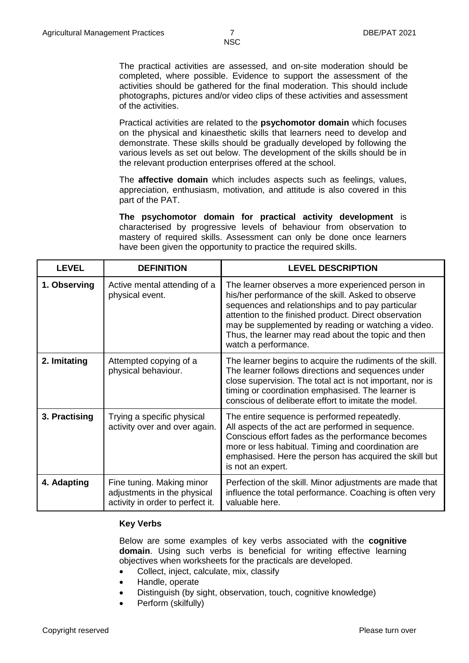The practical activities are assessed, and on-site moderation should be completed, where possible. Evidence to support the assessment of the activities should be gathered for the final moderation. This should include photographs, pictures and/or video clips of these activities and assessment of the activities.

Practical activities are related to the **psychomotor domain** which focuses on the physical and kinaesthetic skills that learners need to develop and demonstrate. These skills should be gradually developed by following the various levels as set out below. The development of the skills should be in the relevant production enterprises offered at the school.

The **affective domain** which includes aspects such as feelings, values, appreciation, enthusiasm, motivation, and attitude is also covered in this part of the PAT.

**The psychomotor domain for practical activity development** is characterised by progressive levels of behaviour from observation to mastery of required skills. Assessment can only be done once learners have been given the opportunity to practice the required skills.

| <b>LEVEL</b>  | <b>DEFINITION</b>                                                                            | <b>LEVEL DESCRIPTION</b>                                                                                                                                                                                                                                                                                                                                    |
|---------------|----------------------------------------------------------------------------------------------|-------------------------------------------------------------------------------------------------------------------------------------------------------------------------------------------------------------------------------------------------------------------------------------------------------------------------------------------------------------|
| 1. Observing  | Active mental attending of a<br>physical event.                                              | The learner observes a more experienced person in<br>his/her performance of the skill. Asked to observe<br>sequences and relationships and to pay particular<br>attention to the finished product. Direct observation<br>may be supplemented by reading or watching a video.<br>Thus, the learner may read about the topic and then<br>watch a performance. |
| 2. Imitating  | Attempted copying of a<br>physical behaviour.                                                | The learner begins to acquire the rudiments of the skill.<br>The learner follows directions and sequences under<br>close supervision. The total act is not important, nor is<br>timing or coordination emphasised. The learner is<br>conscious of deliberate effort to imitate the model.                                                                   |
| 3. Practising | Trying a specific physical<br>activity over and over again.                                  | The entire sequence is performed repeatedly.<br>All aspects of the act are performed in sequence.<br>Conscious effort fades as the performance becomes<br>more or less habitual. Timing and coordination are<br>emphasised. Here the person has acquired the skill but<br>is not an expert.                                                                 |
| 4. Adapting   | Fine tuning. Making minor<br>adjustments in the physical<br>activity in order to perfect it. | Perfection of the skill. Minor adjustments are made that<br>influence the total performance. Coaching is often very<br>valuable here.                                                                                                                                                                                                                       |

#### **Key Verbs**

Below are some examples of key verbs associated with the **cognitive domain**. Using such verbs is beneficial for writing effective learning objectives when worksheets for the practicals are developed.

- Collect, inject, calculate, mix, classify
- Handle, operate
- Distinguish (by sight, observation, touch, cognitive knowledge)
- Perform (skilfully)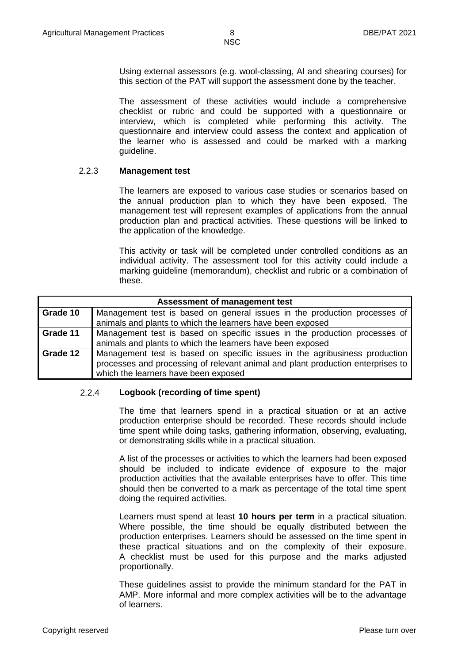Using external assessors (e.g. wool-classing, AI and shearing courses) for this section of the PAT will support the assessment done by the teacher.

The assessment of these activities would include a comprehensive checklist or rubric and could be supported with a questionnaire or interview, which is completed while performing this activity. The questionnaire and interview could assess the context and application of the learner who is assessed and could be marked with a marking guideline.

#### 2.2.3 **Management test**

The learners are exposed to various case studies or scenarios based on the annual production plan to which they have been exposed. The management test will represent examples of applications from the annual production plan and practical activities. These questions will be linked to the application of the knowledge.

This activity or task will be completed under controlled conditions as an individual activity. The assessment tool for this activity could include a marking guideline (memorandum), checklist and rubric or a combination of these.

| Assessment of management test |                                                                                 |  |  |  |  |  |
|-------------------------------|---------------------------------------------------------------------------------|--|--|--|--|--|
| Grade 10                      | Management test is based on general issues in the production processes of       |  |  |  |  |  |
|                               | animals and plants to which the learners have been exposed                      |  |  |  |  |  |
| Grade 11                      | Management test is based on specific issues in the production processes of      |  |  |  |  |  |
|                               | animals and plants to which the learners have been exposed                      |  |  |  |  |  |
| Grade 12                      | Management test is based on specific issues in the agribusiness production      |  |  |  |  |  |
|                               | processes and processing of relevant animal and plant production enterprises to |  |  |  |  |  |
|                               | which the learners have been exposed                                            |  |  |  |  |  |

#### 2.2.4 **Logbook (recording of time spent)**

The time that learners spend in a practical situation or at an active production enterprise should be recorded. These records should include time spent while doing tasks, gathering information, observing, evaluating, or demonstrating skills while in a practical situation.

A list of the processes or activities to which the learners had been exposed should be included to indicate evidence of exposure to the major production activities that the available enterprises have to offer. This time should then be converted to a mark as percentage of the total time spent doing the required activities.

Learners must spend at least **10 hours per term** in a practical situation. Where possible, the time should be equally distributed between the production enterprises. Learners should be assessed on the time spent in these practical situations and on the complexity of their exposure. A checklist must be used for this purpose and the marks adjusted proportionally.

These guidelines assist to provide the minimum standard for the PAT in AMP. More informal and more complex activities will be to the advantage of learners.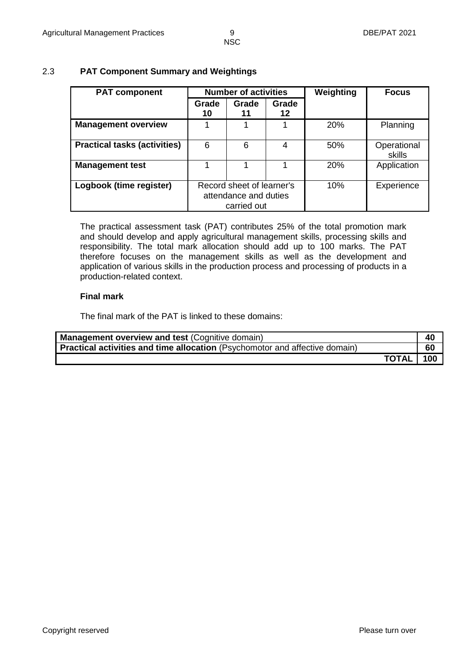# 2.3 **PAT Component Summary and Weightings**

| <b>PAT component</b>                | <b>Number of activities</b>                                       |             | Weighting   | <b>Focus</b> |                       |
|-------------------------------------|-------------------------------------------------------------------|-------------|-------------|--------------|-----------------------|
|                                     | Grade<br>10                                                       | Grade<br>11 | Grade<br>12 |              |                       |
| <b>Management overview</b>          |                                                                   |             |             | <b>20%</b>   | Planning              |
| <b>Practical tasks (activities)</b> | 6                                                                 | 6           | 4           | 50%          | Operational<br>skills |
| <b>Management test</b>              |                                                                   |             |             | <b>20%</b>   | Application           |
| Logbook (time register)             | Record sheet of learner's<br>attendance and duties<br>carried out |             | 10%         | Experience   |                       |

The practical assessment task (PAT) contributes 25% of the total promotion mark and should develop and apply agricultural management skills, processing skills and responsibility. The total mark allocation should add up to 100 marks. The PAT therefore focuses on the management skills as well as the development and application of various skills in the production process and processing of products in a production-related context.

#### **Final mark**

The final mark of the PAT is linked to these domains:

| <b>Management overview and test (Cognitive domain)</b>                      | 40  |
|-----------------------------------------------------------------------------|-----|
| Practical activities and time allocation (Psychomotor and affective domain) | 60  |
| <b>TOTAL</b>                                                                | 100 |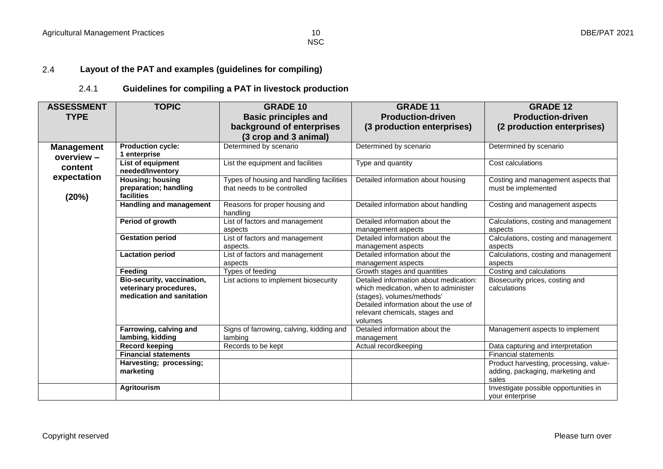#### 2.4 **Layout of the PAT and examples (guidelines for compiling)**

### 2.4.1 **Guidelines for compiling a PAT in livestock production**

| <b>ASSESSMENT</b>               | <b>TOPIC</b>                                 | <b>GRADE 10</b>                                                         | <b>GRADE 11</b>                                                                                                  | <b>GRADE 12</b>                                                                     |
|---------------------------------|----------------------------------------------|-------------------------------------------------------------------------|------------------------------------------------------------------------------------------------------------------|-------------------------------------------------------------------------------------|
| <b>TYPE</b>                     |                                              | <b>Basic principles and</b>                                             | <b>Production-driven</b>                                                                                         | <b>Production-driven</b>                                                            |
|                                 |                                              | background of enterprises                                               | (3 production enterprises)                                                                                       | (2 production enterprises)                                                          |
|                                 |                                              | (3 crop and 3 animal)                                                   |                                                                                                                  |                                                                                     |
| <b>Management</b><br>overview - | <b>Production cycle:</b><br>1 enterprise     | Determined by scenario                                                  | Determined by scenario                                                                                           | Determined by scenario                                                              |
| content                         | List of equipment<br>needed/Inventory        | List the equipment and facilities                                       | Type and quantity                                                                                                | Cost calculations                                                                   |
| expectation                     | Housing; housing<br>preparation; handling    | Types of housing and handling facilities<br>that needs to be controlled | Detailed information about housing                                                                               | Costing and management aspects that<br>must be implemented                          |
| (20%)                           | facilities<br><b>Handling and management</b> | Reasons for proper housing and<br>handling                              | Detailed information about handling                                                                              | Costing and management aspects                                                      |
|                                 | Period of growth                             | List of factors and management<br>aspects                               | Detailed information about the<br>management aspects                                                             | Calculations, costing and management<br>aspects                                     |
|                                 | <b>Gestation period</b>                      | List of factors and management<br>aspects.                              | Detailed information about the<br>management aspects                                                             | Calculations, costing and management<br>aspects                                     |
|                                 | <b>Lactation period</b>                      | List of factors and management<br>aspects                               | Detailed information about the<br>management aspects                                                             | Calculations, costing and management<br>aspects                                     |
|                                 | Feeding                                      | Types of feeding                                                        | Growth stages and quantities                                                                                     | Costing and calculations                                                            |
|                                 | Bio-security, vaccination,                   | List actions to implement biosecurity                                   | Detailed information about medication:                                                                           | Biosecurity prices, costing and                                                     |
|                                 | veterinary procedures,                       |                                                                         | which medication, when to administer                                                                             | calculations                                                                        |
|                                 | medication and sanitation                    |                                                                         | (stages), volumes/methods'<br>Detailed information about the use of<br>relevant chemicals, stages and<br>volumes |                                                                                     |
|                                 | Farrowing, calving and<br>lambing, kidding   | Signs of farrowing, calving, kidding and<br>lambing                     | Detailed information about the<br>management                                                                     | Management aspects to implement                                                     |
|                                 | <b>Record keeping</b>                        | Records to be kept                                                      | Actual recordkeeping                                                                                             | Data capturing and interpretation                                                   |
|                                 | <b>Financial statements</b>                  |                                                                         |                                                                                                                  | <b>Financial statements</b>                                                         |
|                                 | Harvesting; processing;<br>marketing         |                                                                         |                                                                                                                  | Product harvesting, processing, value-<br>adding, packaging, marketing and<br>sales |
|                                 | <b>Agritourism</b>                           |                                                                         |                                                                                                                  | Investigate possible opportunities in<br>your enterprise                            |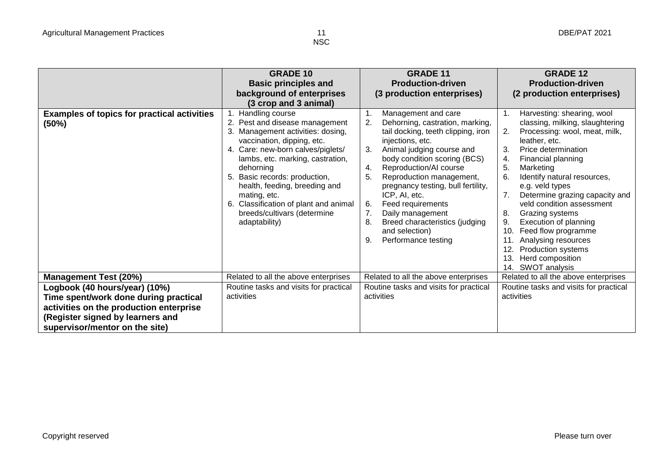|                                                             | <b>GRADE 10</b>                                                                                                                                                                                                                                                                                                                                                                          | <b>GRADE 11</b>                                                                                                                                                                                                                                                                                                                                                                                                                                                | <b>GRADE 12</b>                                                                                                                                                                                                                                                                                                                                                                                                                                                                                                              |
|-------------------------------------------------------------|------------------------------------------------------------------------------------------------------------------------------------------------------------------------------------------------------------------------------------------------------------------------------------------------------------------------------------------------------------------------------------------|----------------------------------------------------------------------------------------------------------------------------------------------------------------------------------------------------------------------------------------------------------------------------------------------------------------------------------------------------------------------------------------------------------------------------------------------------------------|------------------------------------------------------------------------------------------------------------------------------------------------------------------------------------------------------------------------------------------------------------------------------------------------------------------------------------------------------------------------------------------------------------------------------------------------------------------------------------------------------------------------------|
|                                                             | <b>Basic principles and</b>                                                                                                                                                                                                                                                                                                                                                              | <b>Production-driven</b>                                                                                                                                                                                                                                                                                                                                                                                                                                       | <b>Production-driven</b>                                                                                                                                                                                                                                                                                                                                                                                                                                                                                                     |
|                                                             | background of enterprises                                                                                                                                                                                                                                                                                                                                                                | (3 production enterprises)                                                                                                                                                                                                                                                                                                                                                                                                                                     | (2 production enterprises)                                                                                                                                                                                                                                                                                                                                                                                                                                                                                                   |
|                                                             | (3 crop and 3 animal)                                                                                                                                                                                                                                                                                                                                                                    |                                                                                                                                                                                                                                                                                                                                                                                                                                                                |                                                                                                                                                                                                                                                                                                                                                                                                                                                                                                                              |
| <b>Examples of topics for practical activities</b><br>(50%) | 1. Handling course<br>2. Pest and disease management<br>3. Management activities: dosing,<br>vaccination, dipping, etc.<br>4. Care: new-born calves/piglets/<br>lambs, etc. marking, castration,<br>dehorning<br>5. Basic records: production,<br>health, feeding, breeding and<br>mating, etc.<br>6. Classification of plant and animal<br>breeds/cultivars (determine<br>adaptability) | Management and care<br>2.<br>Dehorning, castration, marking,<br>tail docking, teeth clipping, iron<br>injections, etc.<br>Animal judging course and<br>3.<br>body condition scoring (BCS)<br>Reproduction/AI course<br>4.<br>5.<br>Reproduction management,<br>pregnancy testing, bull fertility,<br>ICP, AI, etc.<br>6.<br>Feed requirements<br>7.<br>Daily management<br>8.<br>Breed characteristics (judging<br>and selection)<br>9.<br>Performance testing | Harvesting: shearing, wool<br>classing, milking, slaughtering<br>2.<br>Processing: wool, meat, milk,<br>leather, etc.<br>3.<br>Price determination<br>Financial planning<br>4.<br>5.<br>Marketing<br>6.<br>Identify natural resources,<br>e.g. veld types<br>Determine grazing capacity and<br>veld condition assessment<br>8.<br>Grazing systems<br>Execution of planning<br>9.<br>Feed flow programme<br>10.<br>Analysing resources<br>11.<br>Production systems<br>12.<br>13.<br>Herd composition<br>SWOT analysis<br>14. |
| <b>Management Test (20%)</b>                                | Related to all the above enterprises                                                                                                                                                                                                                                                                                                                                                     | Related to all the above enterprises                                                                                                                                                                                                                                                                                                                                                                                                                           | Related to all the above enterprises                                                                                                                                                                                                                                                                                                                                                                                                                                                                                         |
| Logbook (40 hours/year) (10%)                               | Routine tasks and visits for practical                                                                                                                                                                                                                                                                                                                                                   | Routine tasks and visits for practical                                                                                                                                                                                                                                                                                                                                                                                                                         | Routine tasks and visits for practical                                                                                                                                                                                                                                                                                                                                                                                                                                                                                       |
| Time spent/work done during practical                       | activities                                                                                                                                                                                                                                                                                                                                                                               | activities                                                                                                                                                                                                                                                                                                                                                                                                                                                     | activities                                                                                                                                                                                                                                                                                                                                                                                                                                                                                                                   |
| activities on the production enterprise                     |                                                                                                                                                                                                                                                                                                                                                                                          |                                                                                                                                                                                                                                                                                                                                                                                                                                                                |                                                                                                                                                                                                                                                                                                                                                                                                                                                                                                                              |
| (Register signed by learners and                            |                                                                                                                                                                                                                                                                                                                                                                                          |                                                                                                                                                                                                                                                                                                                                                                                                                                                                |                                                                                                                                                                                                                                                                                                                                                                                                                                                                                                                              |
| supervisor/mentor on the site)                              |                                                                                                                                                                                                                                                                                                                                                                                          |                                                                                                                                                                                                                                                                                                                                                                                                                                                                |                                                                                                                                                                                                                                                                                                                                                                                                                                                                                                                              |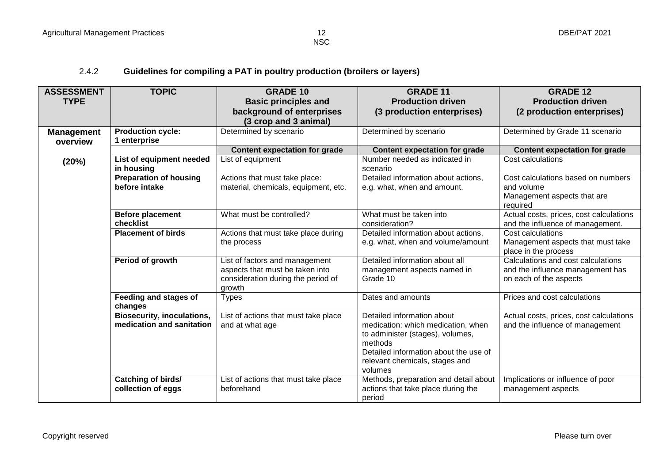### 2.4.2 **Guidelines for compiling a PAT in poultry production (broilers or layers)**

| <b>ASSESSMENT</b> | <b>TOPIC</b>                           | <b>GRADE 10</b>                      | <b>GRADE 11</b>                           | <b>GRADE 12</b>                         |
|-------------------|----------------------------------------|--------------------------------------|-------------------------------------------|-----------------------------------------|
| <b>TYPE</b>       |                                        | <b>Basic principles and</b>          | <b>Production driven</b>                  | <b>Production driven</b>                |
|                   |                                        | background of enterprises            | (3 production enterprises)                | (2 production enterprises)              |
|                   |                                        | (3 crop and 3 animal)                |                                           |                                         |
| <b>Management</b> | <b>Production cycle:</b>               | Determined by scenario               | Determined by scenario                    | Determined by Grade 11 scenario         |
| overview          | 1 enterprise                           |                                      |                                           |                                         |
|                   |                                        | <b>Content expectation for grade</b> | Content expectation for grade             | <b>Content expectation for grade</b>    |
| (20%)             | List of equipment needed<br>in housing | List of equipment                    | Number needed as indicated in<br>scenario | Cost calculations                       |
|                   | <b>Preparation of housing</b>          | Actions that must take place:        | Detailed information about actions,       | Cost calculations based on numbers      |
|                   | before intake                          | material, chemicals, equipment, etc. | e.g. what, when and amount.               | and volume                              |
|                   |                                        |                                      |                                           | Management aspects that are<br>required |
|                   | <b>Before placement</b>                | What must be controlled?             | What must be taken into                   | Actual costs, prices, cost calculations |
|                   | checklist                              |                                      | consideration?                            | and the influence of management.        |
|                   | <b>Placement of birds</b>              | Actions that must take place during  | Detailed information about actions,       | Cost calculations                       |
|                   |                                        | the process                          | e.g. what, when and volume/amount         | Management aspects that must take       |
|                   |                                        |                                      |                                           | place in the process                    |
|                   | Period of growth                       | List of factors and management       | Detailed information about all            | Calculations and cost calculations      |
|                   |                                        | aspects that must be taken into      | management aspects named in               | and the influence management has        |
|                   |                                        | consideration during the period of   | Grade 10                                  | on each of the aspects                  |
|                   |                                        | growth                               |                                           |                                         |
|                   | Feeding and stages of<br>changes       | <b>Types</b>                         | Dates and amounts                         | Prices and cost calculations            |
|                   | <b>Biosecurity, inoculations,</b>      | List of actions that must take place | Detailed information about                | Actual costs, prices, cost calculations |
|                   | medication and sanitation              | and at what age                      | medication: which medication, when        | and the influence of management         |
|                   |                                        |                                      | to administer (stages), volumes,          |                                         |
|                   |                                        |                                      | methods                                   |                                         |
|                   |                                        |                                      | Detailed information about the use of     |                                         |
|                   |                                        |                                      | relevant chemicals, stages and            |                                         |
|                   |                                        |                                      | volumes                                   |                                         |
|                   | <b>Catching of birds/</b>              | List of actions that must take place | Methods, preparation and detail about     | Implications or influence of poor       |
|                   | collection of eggs                     | beforehand                           | actions that take place during the        | management aspects                      |
|                   |                                        |                                      | period                                    |                                         |

N<sub>SC</sub>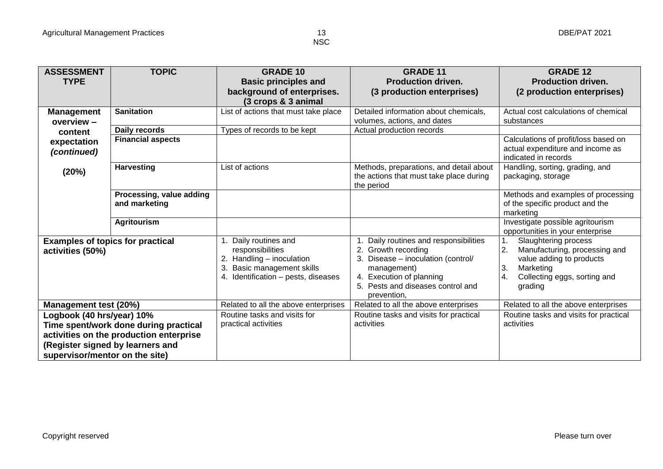| <b>ASSESSMENT</b>                       | <b>TOPIC</b>             | <b>GRADE 10</b>                                            | <b>GRADE 11</b>                                                                    | <b>GRADE 12</b>                                       |
|-----------------------------------------|--------------------------|------------------------------------------------------------|------------------------------------------------------------------------------------|-------------------------------------------------------|
| <b>TYPE</b>                             |                          | <b>Basic principles and</b>                                | <b>Production driven.</b>                                                          | <b>Production driven.</b>                             |
|                                         |                          | background of enterprises.                                 | (3 production enterprises)                                                         | (2 production enterprises)                            |
|                                         |                          | (3 crops & 3 animal                                        |                                                                                    |                                                       |
| <b>Management</b>                       | <b>Sanitation</b>        | List of actions that must take place                       | Detailed information about chemicals,                                              | Actual cost calculations of chemical                  |
| overview $-$                            |                          |                                                            | volumes, actions, and dates                                                        | substances                                            |
| content                                 | Daily records            | Types of records to be kept                                | Actual production records                                                          |                                                       |
| expectation                             | <b>Financial aspects</b> |                                                            |                                                                                    | Calculations of profit/loss based on                  |
| (continued)                             |                          |                                                            |                                                                                    | actual expenditure and income as                      |
|                                         |                          |                                                            |                                                                                    | indicated in records                                  |
| (20%)                                   | <b>Harvesting</b>        | List of actions                                            | Methods, preparations, and detail about<br>the actions that must take place during | Handling, sorting, grading, and<br>packaging, storage |
|                                         |                          |                                                            | the period                                                                         |                                                       |
|                                         | Processing, value adding |                                                            |                                                                                    | Methods and examples of processing                    |
|                                         | and marketing            |                                                            |                                                                                    | of the specific product and the                       |
|                                         |                          |                                                            |                                                                                    | marketing                                             |
|                                         | <b>Agritourism</b>       |                                                            |                                                                                    | Investigate possible agritourism                      |
|                                         |                          |                                                            |                                                                                    | opportunities in your enterprise                      |
| <b>Examples of topics for practical</b> |                          | Daily routines and                                         | Daily routines and responsibilities                                                | Slaughtering process                                  |
| activities (50%)                        |                          | responsibilities                                           | 2. Growth recording                                                                | 2.<br>Manufacturing, processing and                   |
|                                         |                          | 2. Handling - inoculation<br>3.<br>Basic management skills | 3. Disease - inoculation (control/<br>management)                                  | value adding to products<br>Marketing<br>3.           |
|                                         |                          | 4. Identification - pests, diseases                        | 4. Execution of planning                                                           | 4.<br>Collecting eggs, sorting and                    |
|                                         |                          |                                                            | 5. Pests and diseases control and                                                  | grading                                               |
|                                         |                          |                                                            | prevention.                                                                        |                                                       |
| Management test (20%)                   |                          | Related to all the above enterprises                       | Related to all the above enterprises                                               | Related to all the above enterprises                  |
| Logbook (40 hrs/year) 10%               |                          | Routine tasks and visits for                               | Routine tasks and visits for practical                                             | Routine tasks and visits for practical                |
| Time spent/work done during practical   |                          | practical activities                                       | activities                                                                         | activities                                            |
| activities on the production enterprise |                          |                                                            |                                                                                    |                                                       |
| (Register signed by learners and        |                          |                                                            |                                                                                    |                                                       |
| supervisor/mentor on the site)          |                          |                                                            |                                                                                    |                                                       |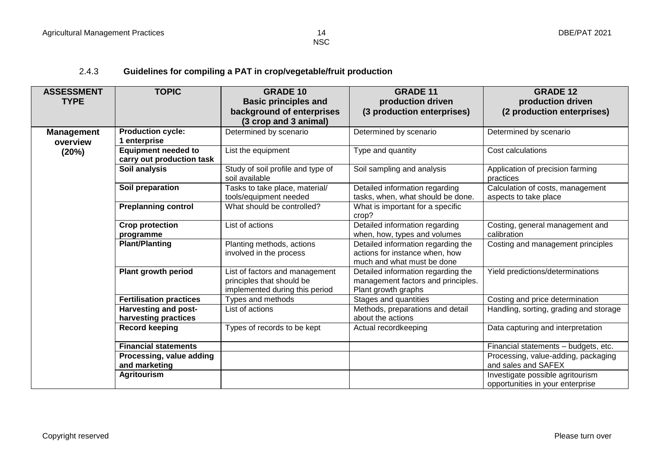2.4.3 **Guidelines for compiling a PAT in crop/vegetable/fruit production** 

| <b>ASSESSMENT</b> | <b>TOPIC</b>                        | <b>GRADE 10</b>                                          | <b>GRADE 11</b>                                                     | <b>GRADE 12</b>                                           |
|-------------------|-------------------------------------|----------------------------------------------------------|---------------------------------------------------------------------|-----------------------------------------------------------|
| <b>TYPE</b>       |                                     | <b>Basic principles and</b>                              | production driven                                                   | production driven                                         |
|                   |                                     | background of enterprises                                | (3 production enterprises)                                          | (2 production enterprises)                                |
|                   |                                     | (3 crop and 3 animal)                                    |                                                                     |                                                           |
| <b>Management</b> | <b>Production cycle:</b>            | Determined by scenario                                   | Determined by scenario                                              | Determined by scenario                                    |
| overview          | 1 enterprise                        |                                                          |                                                                     |                                                           |
| (20%)             | <b>Equipment needed to</b>          | List the equipment                                       | Type and quantity                                                   | Cost calculations                                         |
|                   | carry out production task           |                                                          |                                                                     |                                                           |
|                   | Soil analysis                       | Study of soil profile and type of<br>soil available      | Soil sampling and analysis                                          | Application of precision farming<br>practices             |
|                   | Soil preparation                    | Tasks to take place, material/<br>tools/equipment needed | Detailed information regarding<br>tasks, when, what should be done. | Calculation of costs, management<br>aspects to take place |
|                   | <b>Preplanning control</b>          | What should be controlled?                               | What is important for a specific<br>crop?                           |                                                           |
|                   | <b>Crop protection</b><br>programme | List of actions                                          | Detailed information regarding<br>when, how, types and volumes      | Costing, general management and<br>calibration            |
|                   | <b>Plant/Planting</b>               | Planting methods, actions                                | Detailed information regarding the                                  | Costing and management principles                         |
|                   |                                     | involved in the process                                  | actions for instance when, how                                      |                                                           |
|                   |                                     |                                                          | much and what must be done                                          |                                                           |
|                   | Plant growth period                 | List of factors and management                           | Detailed information regarding the                                  | Yield predictions/determinations                          |
|                   |                                     | principles that should be                                | management factors and principles.                                  |                                                           |
|                   |                                     | implemented during this period                           | Plant growth graphs                                                 |                                                           |
|                   | <b>Fertilisation practices</b>      | Types and methods                                        | Stages and quantities                                               | Costing and price determination                           |
|                   | <b>Harvesting and post-</b>         | List of actions                                          | Methods, preparations and detail                                    | Handling, sorting, grading and storage                    |
|                   | harvesting practices                |                                                          | about the actions                                                   |                                                           |
|                   | <b>Record keeping</b>               | Types of records to be kept                              | Actual recordkeeping                                                | Data capturing and interpretation                         |
|                   | <b>Financial statements</b>         |                                                          |                                                                     | Financial statements - budgets, etc.                      |
|                   | Processing, value adding            |                                                          |                                                                     | Processing, value-adding, packaging                       |
|                   | and marketing                       |                                                          |                                                                     | and sales and SAFEX                                       |
|                   | <b>Agritourism</b>                  |                                                          |                                                                     | Investigate possible agritourism                          |
|                   |                                     |                                                          |                                                                     | opportunities in your enterprise                          |

**NSC**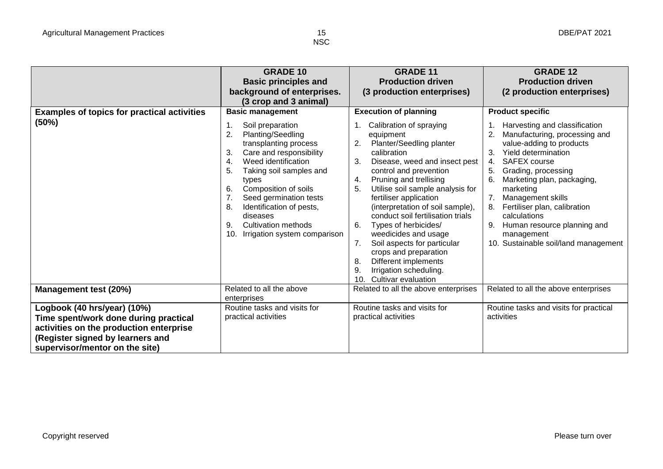|                                                                                                                                                                                       | <b>GRADE 10</b><br><b>Basic principles and</b><br>background of enterprises.<br>(3 crop and 3 animal)                                                                                                                                                                                                                                                                                                | <b>GRADE 11</b><br><b>Production driven</b><br>(3 production enterprises)                                                                                                                                                                                                                                                                                                                                                                                                                                                                                                          | <b>GRADE 12</b><br><b>Production driven</b><br>(2 production enterprises)                                                                                                                                                                                                                                                                                                                                              |
|---------------------------------------------------------------------------------------------------------------------------------------------------------------------------------------|------------------------------------------------------------------------------------------------------------------------------------------------------------------------------------------------------------------------------------------------------------------------------------------------------------------------------------------------------------------------------------------------------|------------------------------------------------------------------------------------------------------------------------------------------------------------------------------------------------------------------------------------------------------------------------------------------------------------------------------------------------------------------------------------------------------------------------------------------------------------------------------------------------------------------------------------------------------------------------------------|------------------------------------------------------------------------------------------------------------------------------------------------------------------------------------------------------------------------------------------------------------------------------------------------------------------------------------------------------------------------------------------------------------------------|
| <b>Examples of topics for practical activities</b><br>(50%)                                                                                                                           | <b>Basic management</b><br>Soil preparation<br>$\overline{2}$<br>Planting/Seedling<br>transplanting process<br>Care and responsibility<br>3.<br>Weed identification<br>4.<br>5.<br>Taking soil samples and<br>types<br>Composition of soils<br>6.<br>Seed germination tests<br>8.<br>Identification of pests,<br>diseases<br><b>Cultivation methods</b><br>9.<br>10.<br>Irrigation system comparison | <b>Execution of planning</b><br>Calibration of spraying<br>equipment<br>Planter/Seedling planter<br>2.<br>calibration<br>3.<br>Disease, weed and insect pest<br>control and prevention<br>Pruning and trellising<br>4.<br>Utilise soil sample analysis for<br>5.<br>fertiliser application<br>(interpretation of soil sample),<br>conduct soil fertilisation trials<br>6.<br>Types of herbicides/<br>weedicides and usage<br>Soil aspects for particular<br>7.<br>crops and preparation<br>Different implements<br>8.<br>Irrigation scheduling.<br>9<br>Cultivar evaluation<br>10. | <b>Product specific</b><br>Harvesting and classification<br>Manufacturing, processing and<br>value-adding to products<br>Yield determination<br>3.<br>SAFEX course<br>4.<br>Grading, processing<br>6.<br>Marketing plan, packaging,<br>marketing<br>7.<br>Management skills<br>Fertiliser plan, calibration<br>8.<br>calculations<br>Human resource planning and<br>management<br>10. Sustainable soil/land management |
| Management test (20%)                                                                                                                                                                 | Related to all the above<br>enterprises                                                                                                                                                                                                                                                                                                                                                              | Related to all the above enterprises                                                                                                                                                                                                                                                                                                                                                                                                                                                                                                                                               | Related to all the above enterprises                                                                                                                                                                                                                                                                                                                                                                                   |
| Logbook (40 hrs/year) (10%)<br>Time spent/work done during practical<br>activities on the production enterprise<br>(Register signed by learners and<br>supervisor/mentor on the site) | Routine tasks and visits for<br>practical activities                                                                                                                                                                                                                                                                                                                                                 | Routine tasks and visits for<br>practical activities                                                                                                                                                                                                                                                                                                                                                                                                                                                                                                                               | Routine tasks and visits for practical<br>activities                                                                                                                                                                                                                                                                                                                                                                   |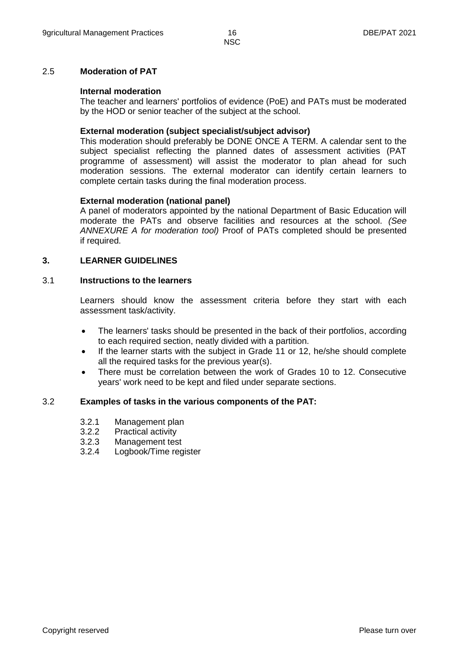#### 2.5 **Moderation of PAT**

#### **Internal moderation**

The teacher and learners' portfolios of evidence (PoE) and PATs must be moderated by the HOD or senior teacher of the subject at the school.

#### **External moderation (subject specialist/subject advisor)**

This moderation should preferably be DONE ONCE A TERM. A calendar sent to the subject specialist reflecting the planned dates of assessment activities (PAT programme of assessment) will assist the moderator to plan ahead for such moderation sessions. The external moderator can identify certain learners to complete certain tasks during the final moderation process.

#### **External moderation (national panel)**

A panel of moderators appointed by the national Department of Basic Education will moderate the PATs and observe facilities and resources at the school. *(See ANNEXURE A for moderation tool)* Proof of PATs completed should be presented if required.

#### **3. LEARNER GUIDELINES**

#### 3.1 **Instructions to the learners**

Learners should know the assessment criteria before they start with each assessment task/activity.

- The learners' tasks should be presented in the back of their portfolios, according to each required section, neatly divided with a partition.
- If the learner starts with the subject in Grade 11 or 12, he/she should complete all the required tasks for the previous year(s).
- There must be correlation between the work of Grades 10 to 12. Consecutive years' work need to be kept and filed under separate sections.

#### 3.2 **Examples of tasks in the various components of the PAT:**

- 3.2.1 Management plan
- 3.2.2 Practical activity
- 3.2.3 Management test
- 3.2.4 Logbook/Time register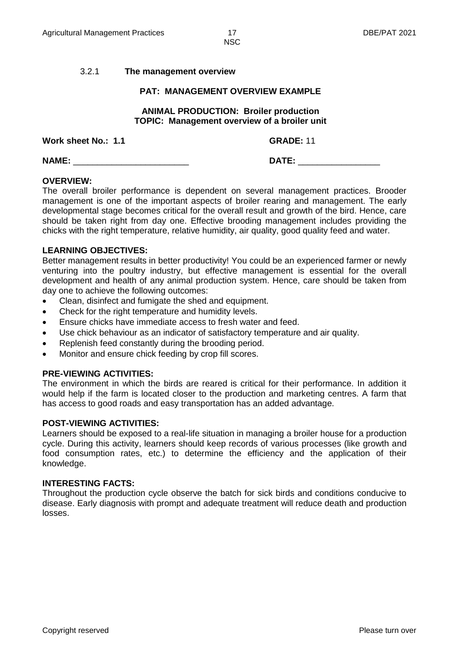#### 3.2.1 **The management overview**

#### **PAT: MANAGEMENT OVERVIEW EXAMPLE**

#### **ANIMAL PRODUCTION: Broiler production TOPIC: Management overview of a broiler unit**

**Work sheet No.: 1.1 GRADE:** 11

**NAME:** \_\_\_\_\_\_\_\_\_\_\_\_\_\_\_\_\_\_\_\_\_\_\_\_ **DATE:** \_\_\_\_\_\_\_\_\_\_\_\_\_\_\_\_\_

#### **OVERVIEW:**

The overall broiler performance is dependent on several management practices. Brooder management is one of the important aspects of broiler rearing and management. The early developmental stage becomes critical for the overall result and growth of the bird. Hence, care should be taken right from day one. Effective brooding management includes providing the chicks with the right temperature, relative humidity, air quality, good quality feed and water.

#### **LEARNING OBJECTIVES:**

Better management results in better productivity! You could be an experienced farmer or newly venturing into the poultry industry, but effective management is essential for the overall development and health of any animal production system. Hence, care should be taken from day one to achieve the following outcomes:

- Clean, disinfect and fumigate the shed and equipment.
- Check for the right temperature and humidity levels.
- Ensure chicks have immediate access to fresh water and feed.
- Use chick behaviour as an indicator of satisfactory temperature and air quality.
- Replenish feed constantly during the brooding period.
- Monitor and ensure chick feeding by crop fill scores.

#### **PRE-VIEWING ACTIVITIES:**

The environment in which the birds are reared is critical for their performance. In addition it would help if the farm is located closer to the production and marketing centres. A farm that has access to good roads and easy transportation has an added advantage.

#### **POST-VIEWING ACTIVITIES:**

Learners should be exposed to a real-life situation in managing a broiler house for a production cycle. During this activity, learners should keep records of various processes (like growth and food consumption rates, etc.) to determine the efficiency and the application of their knowledge.

#### **INTERESTING FACTS:**

Throughout the production cycle observe the batch for sick birds and conditions conducive to disease. Early diagnosis with prompt and adequate treatment will reduce death and production losses.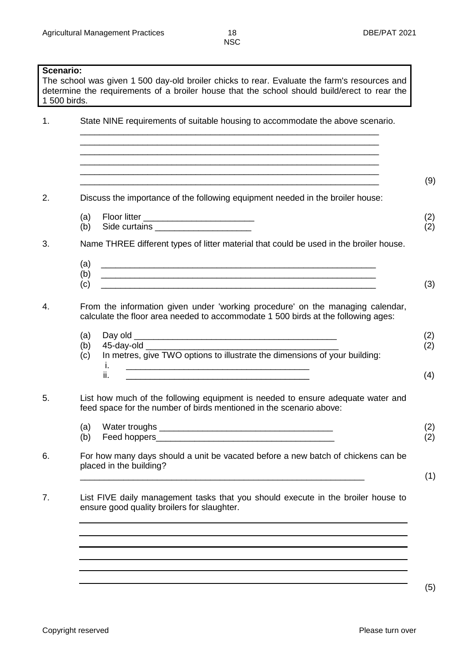| NSC |  |
|-----|--|
|     |  |
|     |  |

**Scenario:** The school was given 1 500 day-old broiler chicks to rear. Evaluate the farm's resources and determine the requirements of a broiler house that the school should build/erect to rear the 1 500 birds. 1. State NINE requirements of suitable housing to accommodate the above scenario. \_\_\_\_\_\_\_\_\_\_\_\_\_\_\_\_\_\_\_\_\_\_\_\_\_\_\_\_\_\_\_\_\_\_\_\_\_\_\_\_\_\_\_\_\_\_\_\_\_\_\_\_\_\_\_\_\_\_\_\_\_\_ \_\_\_\_\_\_\_\_\_\_\_\_\_\_\_\_\_\_\_\_\_\_\_\_\_\_\_\_\_\_\_\_\_\_\_\_\_\_\_\_\_\_\_\_\_\_\_\_\_\_\_\_\_\_\_\_\_\_\_\_\_\_ \_\_\_\_\_\_\_\_\_\_\_\_\_\_\_\_\_\_\_\_\_\_\_\_\_\_\_\_\_\_\_\_\_\_\_\_\_\_\_\_\_\_\_\_\_\_\_\_\_\_\_\_\_\_\_\_\_\_\_\_\_\_ \_\_\_\_\_\_\_\_\_\_\_\_\_\_\_\_\_\_\_\_\_\_\_\_\_\_\_\_\_\_\_\_\_\_\_\_\_\_\_\_\_\_\_\_\_\_\_\_\_\_\_\_\_\_\_\_\_\_\_\_\_\_ \_\_\_\_\_\_\_\_\_\_\_\_\_\_\_\_\_\_\_\_\_\_\_\_\_\_\_\_\_\_\_\_\_\_\_\_\_\_\_\_\_\_\_\_\_\_\_\_\_\_\_\_\_\_\_\_\_\_\_\_\_\_ (9) 2. Discuss the importance of the following equipment needed in the broiler house: (a) (b) Floor litter \_\_\_\_\_\_\_\_\_\_\_\_\_\_\_\_\_\_\_\_\_\_\_ Side curtains \_\_\_\_\_\_\_\_\_\_\_\_\_\_\_\_\_\_\_\_ (2) (2) 3. Name THREE different types of litter material that could be used in the broiler house. (a) (b) (c) \_\_\_\_\_\_\_\_\_\_\_\_\_\_\_\_\_\_\_\_\_\_\_\_\_\_\_\_\_\_\_\_\_\_\_\_\_\_\_\_\_\_\_\_\_\_\_\_\_\_\_\_\_\_\_\_\_ \_\_\_\_\_\_\_\_\_\_\_\_\_\_\_\_\_\_\_\_\_\_\_\_\_\_\_\_\_\_\_\_\_\_\_\_\_\_\_\_\_\_\_\_\_\_\_\_\_\_\_\_\_\_\_\_\_ \_\_\_\_\_\_\_\_\_\_\_\_\_\_\_\_\_\_\_\_\_\_\_\_\_\_\_\_\_\_\_\_\_\_\_\_\_\_\_\_\_\_\_\_\_\_\_\_\_\_\_\_\_\_\_\_\_ (3) 4. From the information given under 'working procedure' on the managing calendar, calculate the floor area needed to accommodate 1 500 birds at the following ages: (a) (b) (c) Day old \_\_\_\_\_\_\_\_\_\_\_\_\_\_\_\_\_\_\_\_\_\_\_\_\_\_\_\_\_\_\_\_\_\_\_\_\_\_\_\_\_\_ 45-day-old \_\_\_\_\_\_\_\_\_\_\_\_\_\_\_\_\_\_\_\_\_\_\_\_\_\_\_\_\_\_\_\_\_\_\_\_\_\_\_\_ In metres, give TWO options to illustrate the dimensions of your building: i. \_\_\_\_\_\_\_\_\_\_\_\_\_\_\_\_\_\_\_\_\_\_\_\_\_\_\_\_\_\_\_\_\_\_\_\_\_\_ ii. \_\_\_\_\_\_\_\_\_\_\_\_\_\_\_\_\_\_\_\_\_\_\_\_\_\_\_\_\_\_\_\_\_\_\_\_\_\_ (2) (2) (4) 5. List how much of the following equipment is needed to ensure adequate water and feed space for the number of birds mentioned in the scenario above: (a) (b) Water troughs \_\_\_\_\_\_\_\_\_\_\_\_\_\_\_\_\_\_\_\_\_\_\_\_\_\_\_\_\_\_\_\_\_\_\_\_ Feed hoppers (2) (2) 6. For how many days should a unit be vacated before a new batch of chickens can be placed in the building? \_\_\_\_\_\_\_\_\_\_\_\_\_\_\_\_\_\_\_\_\_\_\_\_\_\_\_\_\_\_\_\_\_\_\_\_\_\_\_\_\_\_\_\_\_\_\_\_\_\_\_\_\_\_\_\_\_\_\_ (1) 7. List FIVE daily management tasks that you should execute in the broiler house to ensure good quality broilers for slaughter.

(5)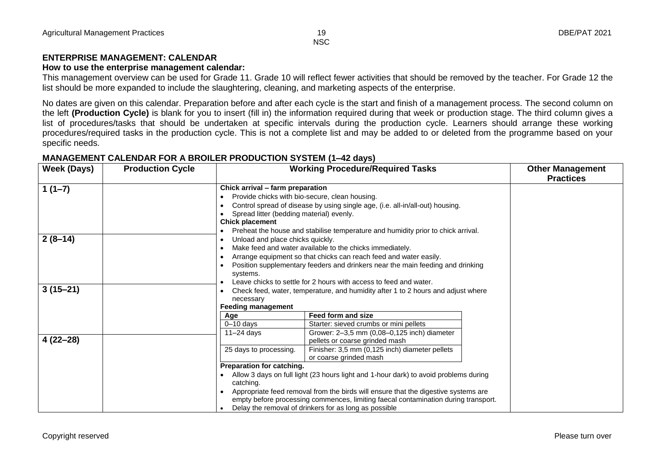#### **ENTERPRISE MANAGEMENT: CALENDAR**

#### **How to use the enterprise management calendar:**

This management overview can be used for Grade 11. Grade 10 will reflect fewer activities that should be removed by the teacher. For Grade 12 the list should be more expanded to include the slaughtering, cleaning, and marketing aspects of the enterprise.

No dates are given on this calendar. Preparation before and after each cycle is the start and finish of a management process. The second column on the left **(Production Cycle)** is blank for you to insert (fill in) the information required during that week or production stage. The third column gives a list of procedures/tasks that should be undertaken at specific intervals during the production cycle. Learners should arrange these working procedures/required tasks in the production cycle. This is not a complete list and may be added to or deleted from the programme based on your specific needs.

#### **MANAGEMENT CALENDAR FOR A BROILER PRODUCTION SYSTEM (1–42 days)**

| <b>Week (Days)</b>      | <b>Production Cycle</b> |                                                                                                                                                                                                                                                                                                                                                                                                                                                                              | <b>Working Procedure/Required Tasks</b>                                                                                                                                                            |  | <b>Other Management</b><br><b>Practices</b> |
|-------------------------|-------------------------|------------------------------------------------------------------------------------------------------------------------------------------------------------------------------------------------------------------------------------------------------------------------------------------------------------------------------------------------------------------------------------------------------------------------------------------------------------------------------|----------------------------------------------------------------------------------------------------------------------------------------------------------------------------------------------------|--|---------------------------------------------|
| $1(1-7)$                |                         | Chick arrival - farm preparation<br>Provide chicks with bio-secure, clean housing.<br>Control spread of disease by using single age, (i.e. all-in/all-out) housing.<br>Spread litter (bedding material) evenly.<br><b>Chick placement</b><br>Preheat the house and stabilise temperature and humidity prior to chick arrival.<br>٠                                                                                                                                           |                                                                                                                                                                                                    |  |                                             |
| $2(8-14)$<br>$3(15-21)$ |                         | Unload and place chicks quickly.<br>٠<br>Make feed and water available to the chicks immediately.<br>Arrange equipment so that chicks can reach feed and water easily.<br>Position supplementary feeders and drinkers near the main feeding and drinking<br>systems.<br>Leave chicks to settle for 2 hours with access to feed and water.<br>Check feed, water, temperature, and humidity after 1 to 2 hours and adjust where<br>٠<br>necessary<br><b>Feeding management</b> |                                                                                                                                                                                                    |  |                                             |
|                         |                         | Age<br>$0 - 10$ days<br>$11-24$ days                                                                                                                                                                                                                                                                                                                                                                                                                                         | Feed form and size<br>Starter: sieved crumbs or mini pellets<br>Grower: 2-3,5 mm (0,08-0,125 inch) diameter                                                                                        |  |                                             |
| $4(22-28)$              |                         | 25 days to processing.<br>Preparation for catching.<br>$\bullet$<br>catching.                                                                                                                                                                                                                                                                                                                                                                                                | pellets or coarse grinded mash<br>Finisher: 3,5 mm (0,125 inch) diameter pellets<br>or coarse grinded mash<br>Allow 3 days on full light (23 hours light and 1-hour dark) to avoid problems during |  |                                             |
|                         |                         | Appropriate feed removal from the birds will ensure that the digestive systems are<br>empty before processing commences, limiting faecal contamination during transport.<br>Delay the removal of drinkers for as long as possible                                                                                                                                                                                                                                            |                                                                                                                                                                                                    |  |                                             |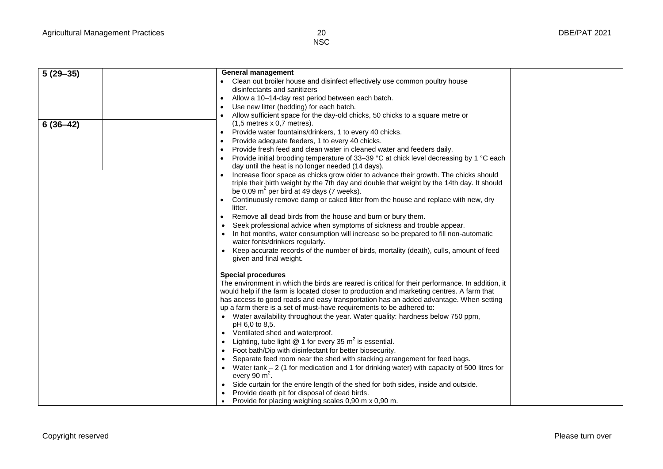| $\sqrt{5(29-35)}$ | <b>General management</b>                                                                                         |  |
|-------------------|-------------------------------------------------------------------------------------------------------------------|--|
|                   | Clean out broiler house and disinfect effectively use common poultry house                                        |  |
|                   | disinfectants and sanitizers                                                                                      |  |
|                   | Allow a 10-14-day rest period between each batch.<br>$\bullet$                                                    |  |
|                   | Use new litter (bedding) for each batch.                                                                          |  |
|                   | Allow sufficient space for the day-old chicks, 50 chicks to a square metre or                                     |  |
| $6(36-42)$        | $(1,5$ metres x 0,7 metres).                                                                                      |  |
|                   | Provide water fountains/drinkers, 1 to every 40 chicks.<br>$\bullet$                                              |  |
|                   | Provide adequate feeders, 1 to every 40 chicks.<br>$\bullet$                                                      |  |
|                   | Provide fresh feed and clean water in cleaned water and feeders daily.<br>$\bullet$                               |  |
|                   | Provide initial brooding temperature of 33–39 °C at chick level decreasing by 1 °C each                           |  |
|                   | day until the heat is no longer needed (14 days).                                                                 |  |
|                   | Increase floor space as chicks grow older to advance their growth. The chicks should                              |  |
|                   | triple their birth weight by the 7th day and double that weight by the 14th day. It should                        |  |
|                   | be 0,09 $m^2$ per bird at 49 days (7 weeks).                                                                      |  |
|                   | Continuously remove damp or caked litter from the house and replace with new, dry<br>$\bullet$                    |  |
|                   | litter.                                                                                                           |  |
|                   | Remove all dead birds from the house and burn or bury them.<br>$\bullet$                                          |  |
|                   | Seek professional advice when symptoms of sickness and trouble appear.                                            |  |
|                   | In hot months, water consumption will increase so be prepared to fill non-automatic                               |  |
|                   | water fonts/drinkers regularly.                                                                                   |  |
|                   | Keep accurate records of the number of birds, mortality (death), culls, amount of feed<br>given and final weight. |  |
|                   |                                                                                                                   |  |
|                   | <b>Special procedures</b>                                                                                         |  |
|                   | The environment in which the birds are reared is critical for their performance. In addition, it                  |  |
|                   | would help if the farm is located closer to production and marketing centres. A farm that                         |  |
|                   | has access to good roads and easy transportation has an added advantage. When setting                             |  |
|                   | up a farm there is a set of must-have requirements to be adhered to:                                              |  |
|                   | Water availability throughout the year. Water quality: hardness below 750 ppm,                                    |  |
|                   | pH 6,0 to 8,5.                                                                                                    |  |
|                   | Ventilated shed and waterproof.<br>$\bullet$                                                                      |  |
|                   | Lighting, tube light $@$ 1 for every 35 $m^2$ is essential.<br>$\bullet$                                          |  |
|                   | Foot bath/Dip with disinfectant for better biosecurity.<br>$\bullet$                                              |  |
|                   | Separate feed room near the shed with stacking arrangement for feed bags.                                         |  |
|                   | Water tank $-2$ (1 for medication and 1 for drinking water) with capacity of 500 litres for<br>$\bullet$          |  |
|                   | every 90 $m2$ .                                                                                                   |  |
|                   | Side curtain for the entire length of the shed for both sides, inside and outside.                                |  |
|                   | Provide death pit for disposal of dead birds.                                                                     |  |
|                   | Provide for placing weighing scales 0,90 m x 0,90 m.                                                              |  |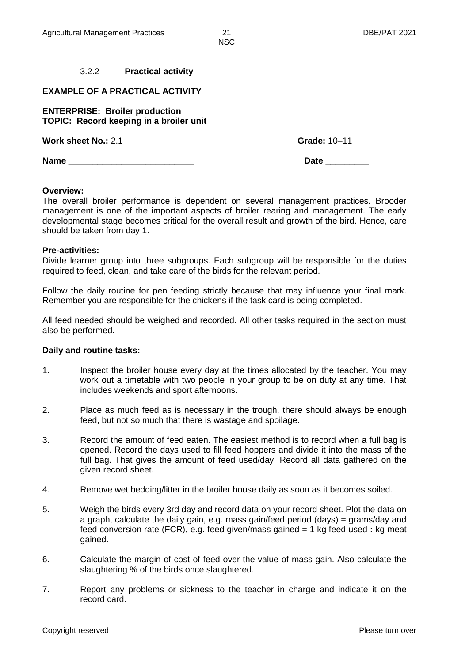#### 3.2.2 **Practical activity**

#### **EXAMPLE OF A PRACTICAL ACTIVITY**

**ENTERPRISE: Broiler production TOPIC: Record keeping in a broiler unit**

**Work sheet No.:** 2.1 **Grade:** 10–11

**Name Date Date** *Date* **<b>Date** *Date* 

#### **Overview:**

The overall broiler performance is dependent on several management practices. Brooder management is one of the important aspects of broiler rearing and management. The early developmental stage becomes critical for the overall result and growth of the bird. Hence, care should be taken from day 1.

#### **Pre-activities:**

Divide learner group into three subgroups. Each subgroup will be responsible for the duties required to feed, clean, and take care of the birds for the relevant period.

Follow the daily routine for pen feeding strictly because that may influence your final mark. Remember you are responsible for the chickens if the task card is being completed.

All feed needed should be weighed and recorded. All other tasks required in the section must also be performed.

#### **Daily and routine tasks:**

- 1. Inspect the broiler house every day at the times allocated by the teacher. You may work out a timetable with two people in your group to be on duty at any time. That includes weekends and sport afternoons.
- 2. Place as much feed as is necessary in the trough, there should always be enough feed, but not so much that there is wastage and spoilage.
- 3. Record the amount of feed eaten. The easiest method is to record when a full bag is opened. Record the days used to fill feed hoppers and divide it into the mass of the full bag. That gives the amount of feed used/day. Record all data gathered on the given record sheet.
- 4. Remove wet bedding/litter in the broiler house daily as soon as it becomes soiled.
- 5. Weigh the birds every 3rd day and record data on your record sheet. Plot the data on a graph, calculate the daily gain, e.g. mass gain/feed period (days) = grams/day and feed conversion rate (FCR), e.g. feed given/mass gained = 1 kg feed used **:** kg meat gained.
- 6. Calculate the margin of cost of feed over the value of mass gain. Also calculate the slaughtering % of the birds once slaughtered.
- 7. Report any problems or sickness to the teacher in charge and indicate it on the record card.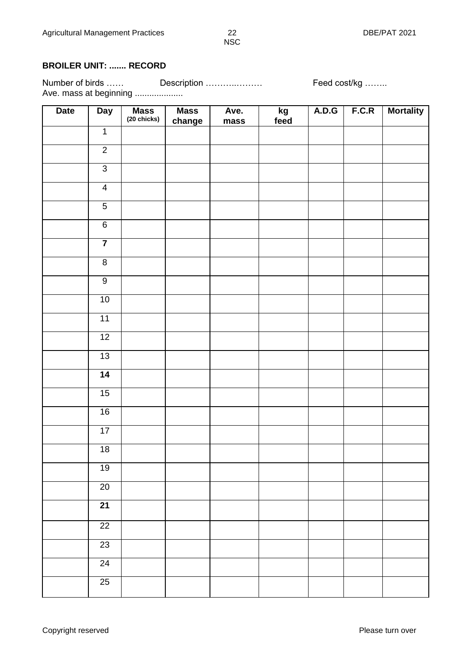### **BROILER UNIT: ....... RECORD**

Number of birds …… Description ………………… Feed cost/kg …….. Number of birds ......<br>Ave. mass at beginning .....................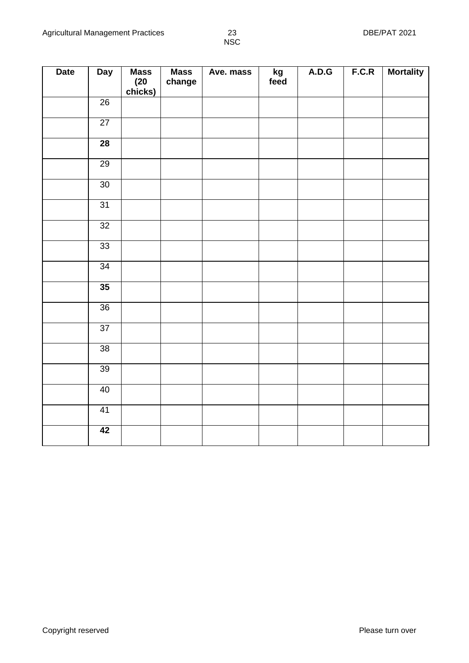| <b>Date</b> | <b>Day</b>      | <b>Mass</b><br>$(20$<br>chicks) | <b>Mass</b><br>change | Ave. mass | $kg$<br>feed | A.D.G | F.C.R | <b>Mortality</b> |
|-------------|-----------------|---------------------------------|-----------------------|-----------|--------------|-------|-------|------------------|
|             | $\overline{26}$ |                                 |                       |           |              |       |       |                  |
|             | $\overline{27}$ |                                 |                       |           |              |       |       |                  |
|             | $\overline{28}$ |                                 |                       |           |              |       |       |                  |
|             | 29              |                                 |                       |           |              |       |       |                  |
|             | 30              |                                 |                       |           |              |       |       |                  |
|             | 31              |                                 |                       |           |              |       |       |                  |
|             | $\overline{32}$ |                                 |                       |           |              |       |       |                  |
|             | 33              |                                 |                       |           |              |       |       |                  |
|             | $\overline{34}$ |                                 |                       |           |              |       |       |                  |
|             | 35              |                                 |                       |           |              |       |       |                  |
|             | $\overline{36}$ |                                 |                       |           |              |       |       |                  |
|             | $\overline{37}$ |                                 |                       |           |              |       |       |                  |
|             | $\overline{38}$ |                                 |                       |           |              |       |       |                  |
|             | 39              |                                 |                       |           |              |       |       |                  |
|             | 40              |                                 |                       |           |              |       |       |                  |
|             | 41              |                                 |                       |           |              |       |       |                  |
|             | 42              |                                 |                       |           |              |       |       |                  |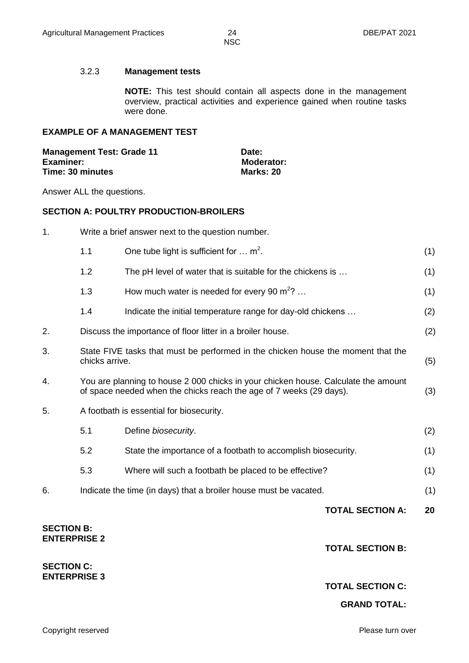#### 3.2.3 **Management tests**

**NOTE:** This test should contain all aspects done in the management overview, practical activities and experience gained when routine tasks were done.

#### **EXAMPLE OF A MANAGEMENT TEST**

| <b>Management Test: Grade 11</b> | Date:             |
|----------------------------------|-------------------|
| <b>Examiner:</b>                 | <b>Moderator:</b> |
| Time: 30 minutes                 | Marks: 20         |

Answer ALL the questions.

#### **SECTION A: POULTRY PRODUCTION-BROILERS**

| <b>SECTION C:</b><br><b>ENTERPRISE 3</b> |                                                                                                                                                           |                                                                                  |                         |     |  |
|------------------------------------------|-----------------------------------------------------------------------------------------------------------------------------------------------------------|----------------------------------------------------------------------------------|-------------------------|-----|--|
| <b>SECTION B:</b><br><b>ENTERPRISE 2</b> |                                                                                                                                                           |                                                                                  | <b>TOTAL SECTION B:</b> |     |  |
|                                          |                                                                                                                                                           |                                                                                  | <b>TOTAL SECTION A:</b> | 20  |  |
| 6.                                       |                                                                                                                                                           | Indicate the time (in days) that a broiler house must be vacated.                |                         | (1) |  |
|                                          | 5.3                                                                                                                                                       | Where will such a footbath be placed to be effective?                            |                         | (1) |  |
|                                          | 5.2                                                                                                                                                       | State the importance of a footbath to accomplish biosecurity.                    |                         | (1) |  |
|                                          | 5.1                                                                                                                                                       | Define biosecurity.                                                              |                         | (2) |  |
| 5.                                       |                                                                                                                                                           | A footbath is essential for biosecurity.                                         |                         |     |  |
| 4.                                       | You are planning to house 2 000 chicks in your chicken house. Calculate the amount<br>of space needed when the chicks reach the age of 7 weeks (29 days). |                                                                                  |                         |     |  |
| 3.                                       | chicks arrive.                                                                                                                                            | State FIVE tasks that must be performed in the chicken house the moment that the |                         | (5) |  |
| 2.                                       |                                                                                                                                                           | Discuss the importance of floor litter in a broiler house.                       |                         | (2) |  |
|                                          | 1.4                                                                                                                                                       | Indicate the initial temperature range for day-old chickens                      |                         | (2) |  |
|                                          | 1.3                                                                                                                                                       | How much water is needed for every 90 $m^2$ ?                                    |                         | (1) |  |
|                                          | 1.2                                                                                                                                                       | The pH level of water that is suitable for the chickens is                       |                         | (1) |  |
|                                          | 1.1                                                                                                                                                       | One tube light is sufficient for $\dots$ m <sup>2</sup> .                        |                         | (1) |  |
| 1.                                       | Write a brief answer next to the question number.                                                                                                         |                                                                                  |                         |     |  |

#### **TOTAL SECTION C:**

#### **GRAND TOTAL:**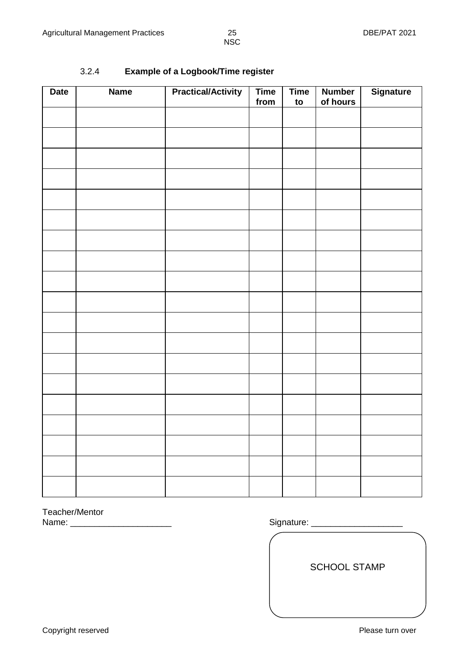### 3.2.4 **Example of a Logbook/Time register**

| <b>Date</b> | <b>Name</b> | <b>Practical/Activity</b> | <b>Time</b><br>from | <b>Time</b><br>to | <b>Number</b><br>of hours | <b>Signature</b> |
|-------------|-------------|---------------------------|---------------------|-------------------|---------------------------|------------------|
|             |             |                           |                     |                   |                           |                  |
|             |             |                           |                     |                   |                           |                  |
|             |             |                           |                     |                   |                           |                  |
|             |             |                           |                     |                   |                           |                  |
|             |             |                           |                     |                   |                           |                  |
|             |             |                           |                     |                   |                           |                  |
|             |             |                           |                     |                   |                           |                  |
|             |             |                           |                     |                   |                           |                  |
|             |             |                           |                     |                   |                           |                  |
|             |             |                           |                     |                   |                           |                  |
|             |             |                           |                     |                   |                           |                  |
|             |             |                           |                     |                   |                           |                  |
|             |             |                           |                     |                   |                           |                  |
|             |             |                           |                     |                   |                           |                  |
|             |             |                           |                     |                   |                           |                  |
|             |             |                           |                     |                   |                           |                  |
|             |             |                           |                     |                   |                           |                  |
|             |             |                           |                     |                   |                           |                  |
|             |             |                           |                     |                   |                           |                  |

Teacher/Mentor<br>Name:

Signature: \_\_\_\_\_

SCHOOL STAMP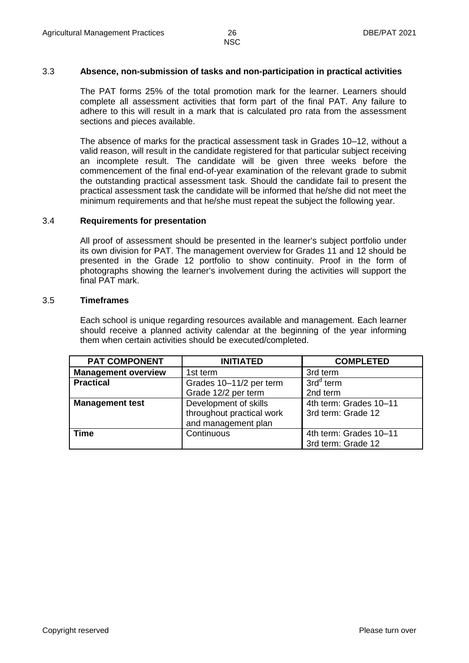#### 3.3 **Absence, non-submission of tasks and non-participation in practical activities**

The PAT forms 25% of the total promotion mark for the learner. Learners should complete all assessment activities that form part of the final PAT. Any failure to adhere to this will result in a mark that is calculated pro rata from the assessment sections and pieces available.

The absence of marks for the practical assessment task in Grades 10–12, without a valid reason, will result in the candidate registered for that particular subject receiving an incomplete result. The candidate will be given three weeks before the commencement of the final end-of-year examination of the relevant grade to submit the outstanding practical assessment task. Should the candidate fail to present the practical assessment task the candidate will be informed that he/she did not meet the minimum requirements and that he/she must repeat the subject the following year.

#### 3.4 **Requirements for presentation**

All proof of assessment should be presented in the learner's subject portfolio under its own division for PAT. The management overview for Grades 11 and 12 should be presented in the Grade 12 portfolio to show continuity. Proof in the form of photographs showing the learner's involvement during the activities will support the final PAT mark.

#### 3.5 **Timeframes**

Each school is unique regarding resources available and management. Each learner should receive a planned activity calendar at the beginning of the year informing them when certain activities should be executed/completed.

| <b>PAT COMPONENT</b>       | <b>INITIATED</b>          | <b>COMPLETED</b>       |
|----------------------------|---------------------------|------------------------|
| <b>Management overview</b> | 1st term                  | 3rd term               |
| <b>Practical</b>           | Grades 10-11/2 per term   | $3rdd$ term            |
|                            | Grade 12/2 per term       | 2nd term               |
| <b>Management test</b>     | Development of skills     | 4th term: Grades 10-11 |
|                            | throughout practical work | 3rd term: Grade 12     |
|                            | and management plan       |                        |
| <b>Time</b>                | Continuous                | 4th term: Grades 10-11 |
|                            |                           | 3rd term: Grade 12     |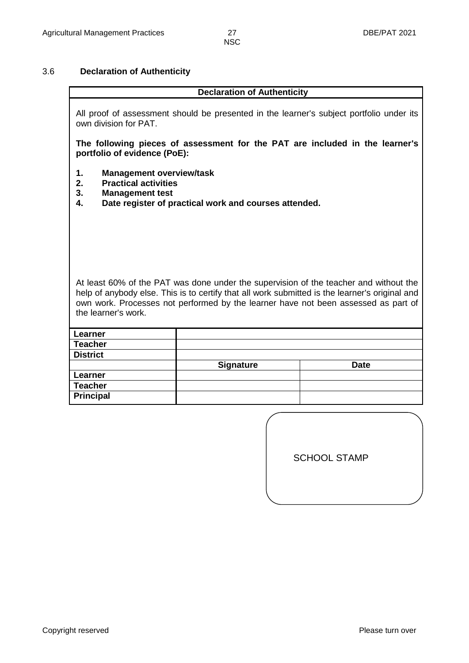#### 3.6 **Declaration of Authenticity**

#### **Declaration of Authenticity**

All proof of assessment should be presented in the learner's subject portfolio under its own division for PAT.

**The following pieces of assessment for the PAT are included in the learner's portfolio of evidence (PoE):**

- **1. Management overview/task**
- **2. Practical activities**
- **3. Management test**

**4. Date register of practical work and courses attended.**

At least 60% of the PAT was done under the supervision of the teacher and without the help of anybody else. This is to certify that all work submitted is the learner's original and own work. Processes not performed by the learner have not been assessed as part of the learner's work.

| Learner          |                  |             |
|------------------|------------------|-------------|
| <b>Teacher</b>   |                  |             |
| <b>District</b>  |                  |             |
|                  | <b>Signature</b> | <b>Date</b> |
| Learner          |                  |             |
| <b>Teacher</b>   |                  |             |
| <b>Principal</b> |                  |             |

| <b>SCHOOL STAMP</b> |  |
|---------------------|--|
|                     |  |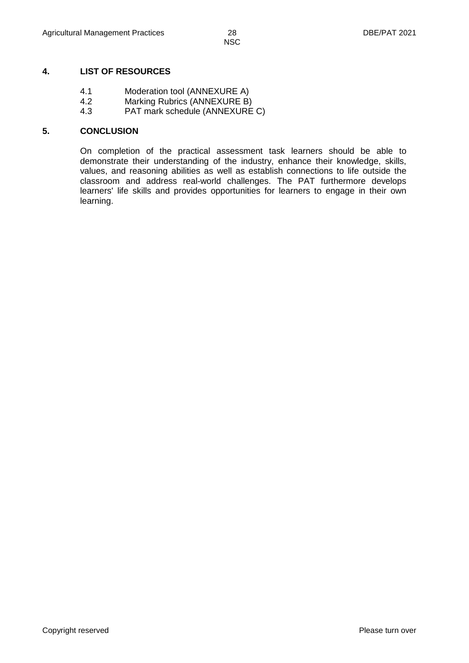#### **4. LIST OF RESOURCES**

- 4.1 Moderation tool (ANNEXURE A)
- 4.2 Marking Rubrics (ANNEXURE B)
- 4.3 PAT mark schedule (ANNEXURE C)

#### **5. CONCLUSION**

On completion of the practical assessment task learners should be able to demonstrate their understanding of the industry, enhance their knowledge, skills, values, and reasoning abilities as well as establish connections to life outside the classroom and address real-world challenges. The PAT furthermore develops learners' life skills and provides opportunities for learners to engage in their own learning.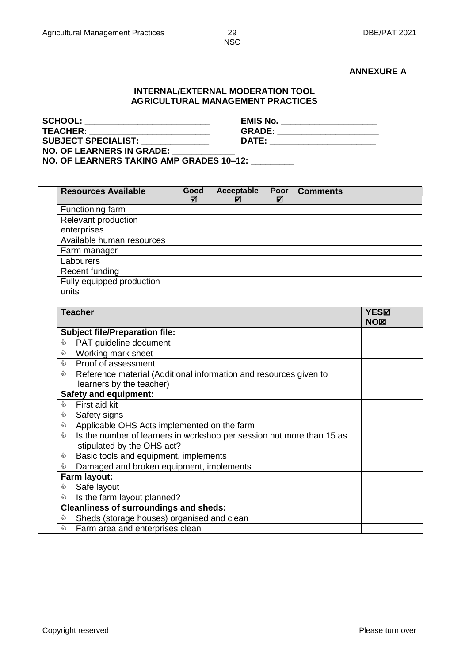#### **ANNEXURE A**

#### **INTERNAL/EXTERNAL MODERATION TOOL AGRICULTURAL MANAGEMENT PRACTICES**

| <b>SCHOOL:</b>                   | <b>EMIS No.</b> |  |
|----------------------------------|-----------------|--|
| <b>TEACHER:</b>                  | <b>GRADE:</b>   |  |
| <b>SUBJECT SPECIALIST:</b>       | DATE:           |  |
| <b>NO. OF LEARNERS IN GRADE:</b> |                 |  |

**NO. OF LEARNERS TAKING AMP GRADES 10–12: \_\_\_\_\_\_\_\_\_**

|  | <b>Resources Available</b>                                                 | Good<br>ज्ञ | Acceptable<br>М | Poor<br>М | <b>Comments</b> |  |  |  |
|--|----------------------------------------------------------------------------|-------------|-----------------|-----------|-----------------|--|--|--|
|  | Functioning farm                                                           |             |                 |           |                 |  |  |  |
|  | Relevant production                                                        |             |                 |           |                 |  |  |  |
|  | enterprises                                                                |             |                 |           |                 |  |  |  |
|  | Available human resources                                                  |             |                 |           |                 |  |  |  |
|  | Farm manager                                                               |             |                 |           |                 |  |  |  |
|  | Labourers                                                                  |             |                 |           |                 |  |  |  |
|  | Recent funding                                                             |             |                 |           |                 |  |  |  |
|  | Fully equipped production                                                  |             |                 |           |                 |  |  |  |
|  | units                                                                      |             |                 |           |                 |  |  |  |
|  |                                                                            |             |                 |           |                 |  |  |  |
|  | <b>Teacher</b>                                                             |             | YES⊠<br>NOX     |           |                 |  |  |  |
|  | <b>Subject file/Preparation file:</b>                                      |             |                 |           |                 |  |  |  |
|  | PAT guideline document<br>₷                                                |             |                 |           |                 |  |  |  |
|  | Working mark sheet<br>D                                                    |             |                 |           |                 |  |  |  |
|  | ⇘<br>Proof of assessment                                                   |             |                 |           |                 |  |  |  |
|  | Reference material (Additional information and resources given to<br>⇘     |             |                 |           |                 |  |  |  |
|  | learners by the teacher)                                                   |             |                 |           |                 |  |  |  |
|  | <b>Safety and equipment:</b><br>First aid kit<br>♦                         |             |                 |           |                 |  |  |  |
|  |                                                                            |             |                 |           |                 |  |  |  |
|  | ♦<br>Safety signs                                                          |             |                 |           |                 |  |  |  |
|  | Applicable OHS Acts implemented on the farm<br>♦                           |             |                 |           |                 |  |  |  |
|  | Is the number of learners in workshop per session not more than 15 as<br>♦ |             |                 |           |                 |  |  |  |
|  | stipulated by the OHS act?                                                 |             |                 |           |                 |  |  |  |
|  | ♦<br>Basic tools and equipment, implements                                 |             |                 |           |                 |  |  |  |
|  | Damaged and broken equipment, implements<br>♦                              |             |                 |           |                 |  |  |  |
|  | Farm layout:                                                               |             |                 |           |                 |  |  |  |
|  | ♦<br>Safe layout                                                           |             |                 |           |                 |  |  |  |
|  | Is the farm layout planned?<br>ঌ                                           |             |                 |           |                 |  |  |  |
|  | <b>Cleanliness of surroundings and sheds:</b>                              |             |                 |           |                 |  |  |  |
|  | Sheds (storage houses) organised and clean<br>♦                            |             |                 |           |                 |  |  |  |
|  | ⇘<br>Farm area and enterprises clean                                       |             |                 |           |                 |  |  |  |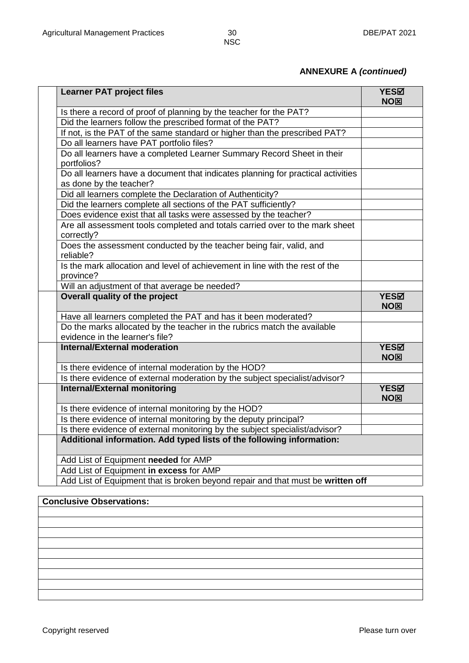### **ANNEXURE A** *(continued)*

| <b>Learner PAT project files</b>                                                                                           | YESM<br>NO⊠             |
|----------------------------------------------------------------------------------------------------------------------------|-------------------------|
| Is there a record of proof of planning by the teacher for the PAT?                                                         |                         |
| Did the learners follow the prescribed format of the PAT?                                                                  |                         |
| If not, is the PAT of the same standard or higher than the prescribed PAT?                                                 |                         |
| Do all learners have PAT portfolio files?                                                                                  |                         |
| Do all learners have a completed Learner Summary Record Sheet in their<br>portfolios?                                      |                         |
| Do all learners have a document that indicates planning for practical activities<br>as done by the teacher?                |                         |
| Did all learners complete the Declaration of Authenticity?                                                                 |                         |
| Did the learners complete all sections of the PAT sufficiently?                                                            |                         |
| Does evidence exist that all tasks were assessed by the teacher?                                                           |                         |
| Are all assessment tools completed and totals carried over to the mark sheet<br>correctly?                                 |                         |
| Does the assessment conducted by the teacher being fair, valid, and<br>reliable?                                           |                         |
| Is the mark allocation and level of achievement in line with the rest of the<br>province?                                  |                         |
| Will an adjustment of that average be needed?                                                                              |                         |
| Overall quality of the project                                                                                             | YESM<br>NOX             |
| Have all learners completed the PAT and has it been moderated?                                                             |                         |
| Do the marks allocated by the teacher in the rubrics match the available<br>evidence in the learner's file?                |                         |
| Internal/External moderation                                                                                               | YES⊠<br>NO <sub>⊠</sub> |
| Is there evidence of internal moderation by the HOD?                                                                       |                         |
| Is there evidence of external moderation by the subject specialist/advisor?                                                |                         |
| <b>Internal/External monitoring</b>                                                                                        | YES⊠<br>NOX             |
| Is there evidence of internal monitoring by the HOD?                                                                       |                         |
| Is there evidence of internal monitoring by the deputy principal?                                                          |                         |
| Is there evidence of external monitoring by the subject specialist/advisor?                                                |                         |
| Additional information. Add typed lists of the following information:                                                      |                         |
|                                                                                                                            |                         |
| Add List of Equipment needed for AMP                                                                                       |                         |
| Add List of Equipment in excess for AMP<br>Add List of Equipment that is broken beyond repair and that must be written off |                         |

### **Conclusive Observations:**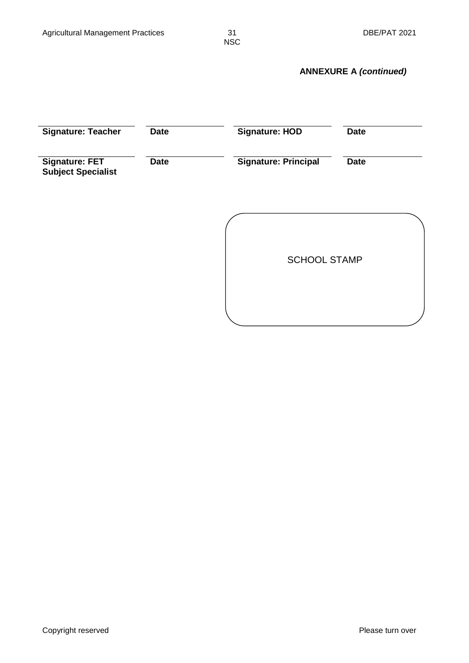### **ANNEXURE A** *(continued)*

| <b>Signature: Teacher</b>                          | <b>Date</b> | <b>Signature: HOD</b>       | <b>Date</b> |  |  |
|----------------------------------------------------|-------------|-----------------------------|-------------|--|--|
| <b>Signature: FET</b><br><b>Subject Specialist</b> | <b>Date</b> | <b>Signature: Principal</b> | <b>Date</b> |  |  |
|                                                    |             |                             |             |  |  |
|                                                    |             | <b>SCHOOL STAMP</b>         |             |  |  |
|                                                    |             |                             |             |  |  |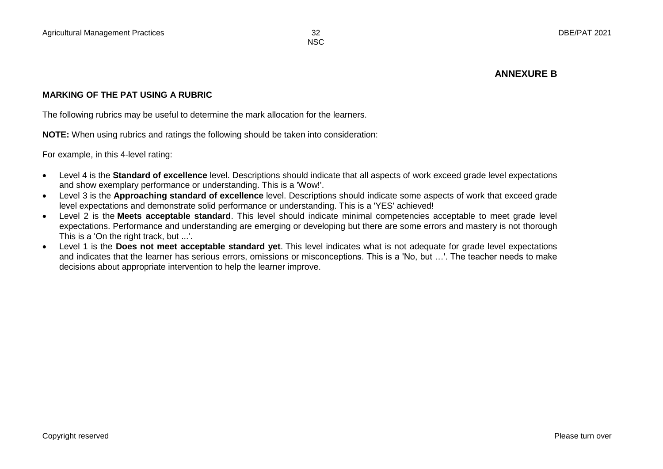#### **ANNEXURE B**

#### **MARKING OF THE PAT USING A RUBRIC**

The following rubrics may be useful to determine the mark allocation for the learners.

**NOTE:** When using rubrics and ratings the following should be taken into consideration:

For example, in this 4-level rating:

- Level 4 is the **Standard of excellence** level. Descriptions should indicate that all aspects of work exceed grade level expectations and show exemplary performance or understanding. This is a 'Wow!'.
- Level 3 is the **Approaching standard of excellence** level. Descriptions should indicate some aspects of work that exceed grade level expectations and demonstrate solid performance or understanding. This is a 'YES' achieved!
- Level 2 is the **Meets acceptable standard**. This level should indicate minimal competencies acceptable to meet grade level expectations. Performance and understanding are emerging or developing but there are some errors and mastery is not thorough This is a 'On the right track, but ...'.
- Level 1 is the **Does not meet acceptable standard yet**. This level indicates what is not adequate for grade level expectations and indicates that the learner has serious errors, omissions or misconceptions. This is a 'No, but …'. The teacher needs to make decisions about appropriate intervention to help the learner improve.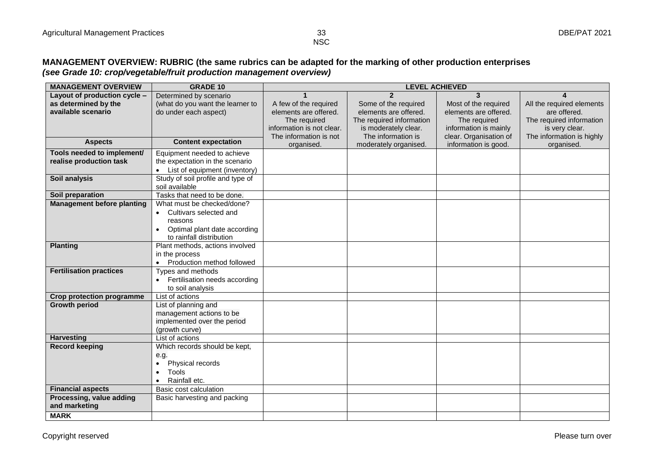#### **MANAGEMENT OVERVIEW: RUBRIC (the same rubrics can be adapted for the marking of other production enterprises**  *(see Grade 10: crop/vegetable/fruit production management overview)*

| <b>MANAGEMENT OVERVIEW</b>        | <b>GRADE 10</b>                            | <b>LEVEL ACHIEVED</b>     |                          |                        |                           |  |  |
|-----------------------------------|--------------------------------------------|---------------------------|--------------------------|------------------------|---------------------------|--|--|
| Layout of production cycle -      | Determined by scenario                     |                           | $\overline{\mathbf{z}}$  | $\mathbf{3}$           |                           |  |  |
| as determined by the              | (what do you want the learner to           | A few of the required     | Some of the required     | Most of the required   | All the required elements |  |  |
| available scenario                | do under each aspect)                      | elements are offered.     | elements are offered.    | elements are offered.  | are offered.              |  |  |
|                                   |                                            | The required              | The required information | The required           | The required information  |  |  |
|                                   |                                            | information is not clear. | is moderately clear.     | information is mainly  | is very clear.            |  |  |
|                                   |                                            | The information is not    | The information is       | clear. Organisation of | The information is highly |  |  |
| <b>Aspects</b>                    | <b>Content expectation</b>                 | organised.                | moderately organised.    | information is good.   | organised.                |  |  |
| Tools needed to implement/        | Equipment needed to achieve                |                           |                          |                        |                           |  |  |
| realise production task           | the expectation in the scenario            |                           |                          |                        |                           |  |  |
|                                   | • List of equipment (inventory)            |                           |                          |                        |                           |  |  |
| Soil analysis                     | Study of soil profile and type of          |                           |                          |                        |                           |  |  |
|                                   | soil available                             |                           |                          |                        |                           |  |  |
| Soil preparation                  | Tasks that need to be done.                |                           |                          |                        |                           |  |  |
| <b>Management before planting</b> | What must be checked/done?                 |                           |                          |                        |                           |  |  |
|                                   | Cultivars selected and                     |                           |                          |                        |                           |  |  |
|                                   | reasons                                    |                           |                          |                        |                           |  |  |
|                                   | Optimal plant date according               |                           |                          |                        |                           |  |  |
|                                   | to rainfall distribution                   |                           |                          |                        |                           |  |  |
| <b>Planting</b>                   | Plant methods, actions involved            |                           |                          |                        |                           |  |  |
|                                   | in the process                             |                           |                          |                        |                           |  |  |
|                                   | • Production method followed               |                           |                          |                        |                           |  |  |
| <b>Fertilisation practices</b>    | Types and methods                          |                           |                          |                        |                           |  |  |
|                                   | Fertilisation needs according<br>$\bullet$ |                           |                          |                        |                           |  |  |
|                                   | to soil analysis                           |                           |                          |                        |                           |  |  |
| <b>Crop protection programme</b>  | List of actions                            |                           |                          |                        |                           |  |  |
| <b>Growth period</b>              | List of planning and                       |                           |                          |                        |                           |  |  |
|                                   | management actions to be                   |                           |                          |                        |                           |  |  |
|                                   | implemented over the period                |                           |                          |                        |                           |  |  |
|                                   | (growth curve)                             |                           |                          |                        |                           |  |  |
| <b>Harvesting</b>                 | List of actions                            |                           |                          |                        |                           |  |  |
| <b>Record keeping</b>             | Which records should be kept,              |                           |                          |                        |                           |  |  |
|                                   | e.g.                                       |                           |                          |                        |                           |  |  |
|                                   | Physical records                           |                           |                          |                        |                           |  |  |
|                                   | <b>Tools</b>                               |                           |                          |                        |                           |  |  |
|                                   | Rainfall etc.                              |                           |                          |                        |                           |  |  |
| <b>Financial aspects</b>          | Basic cost calculation                     |                           |                          |                        |                           |  |  |
| Processing, value adding          | Basic harvesting and packing               |                           |                          |                        |                           |  |  |
| and marketing                     |                                            |                           |                          |                        |                           |  |  |
| <b>MARK</b>                       |                                            |                           |                          |                        |                           |  |  |

**NSC**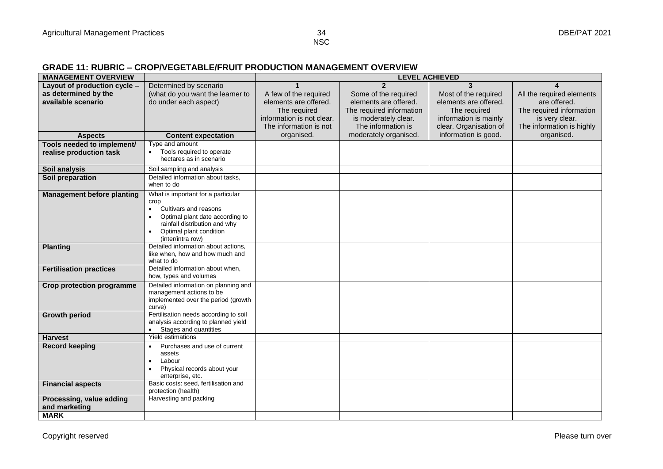#### **GRADE 11: RUBRIC – CROP/VEGETABLE/FRUIT PRODUCTION MANAGEMENT OVERVIEW**

| <b>MANAGEMENT OVERVIEW</b>        |                                                          | <b>LEVEL ACHIEVED</b>     |                          |                        |                           |  |  |  |
|-----------------------------------|----------------------------------------------------------|---------------------------|--------------------------|------------------------|---------------------------|--|--|--|
| Layout of production cycle -      | Determined by scenario                                   |                           | $\overline{2}$           | 3                      |                           |  |  |  |
| as determined by the              | (what do you want the learner to                         | A few of the required     | Some of the required     | Most of the required   | All the required elements |  |  |  |
| available scenario                | do under each aspect)                                    | elements are offered.     | elements are offered.    | elements are offered.  | are offered.              |  |  |  |
|                                   |                                                          | The required              | The required information | The required           | The required information  |  |  |  |
|                                   |                                                          | information is not clear. | is moderately clear.     | information is mainly  | is very clear.            |  |  |  |
|                                   |                                                          | The information is not    | The information is       | clear. Organisation of | The information is highly |  |  |  |
| <b>Aspects</b>                    | <b>Content expectation</b>                               | organised.                | moderately organised.    | information is good.   | organised.                |  |  |  |
| Tools needed to implement/        | Type and amount                                          |                           |                          |                        |                           |  |  |  |
| realise production task           | Tools required to operate                                |                           |                          |                        |                           |  |  |  |
|                                   | hectares as in scenario                                  |                           |                          |                        |                           |  |  |  |
| Soil analysis                     | Soil sampling and analysis                               |                           |                          |                        |                           |  |  |  |
| Soil preparation                  | Detailed information about tasks,                        |                           |                          |                        |                           |  |  |  |
|                                   | when to do                                               |                           |                          |                        |                           |  |  |  |
| <b>Management before planting</b> | What is important for a particular                       |                           |                          |                        |                           |  |  |  |
|                                   | crop                                                     |                           |                          |                        |                           |  |  |  |
|                                   | Cultivars and reasons<br>$\bullet$                       |                           |                          |                        |                           |  |  |  |
|                                   | Optimal plant date according to                          |                           |                          |                        |                           |  |  |  |
|                                   | rainfall distribution and why<br>Optimal plant condition |                           |                          |                        |                           |  |  |  |
|                                   | (inter/intra row)                                        |                           |                          |                        |                           |  |  |  |
| <b>Planting</b>                   | Detailed information about actions,                      |                           |                          |                        |                           |  |  |  |
|                                   | like when, how and how much and                          |                           |                          |                        |                           |  |  |  |
|                                   | what to do                                               |                           |                          |                        |                           |  |  |  |
| <b>Fertilisation practices</b>    | Detailed information about when,                         |                           |                          |                        |                           |  |  |  |
|                                   | how, types and volumes                                   |                           |                          |                        |                           |  |  |  |
| <b>Crop protection programme</b>  | Detailed information on planning and                     |                           |                          |                        |                           |  |  |  |
|                                   | management actions to be                                 |                           |                          |                        |                           |  |  |  |
|                                   | implemented over the period (growth                      |                           |                          |                        |                           |  |  |  |
|                                   | curve)<br>Fertilisation needs according to soil          |                           |                          |                        |                           |  |  |  |
| <b>Growth period</b>              | analysis according to planned yield                      |                           |                          |                        |                           |  |  |  |
|                                   | Stages and quantities<br>$\bullet$                       |                           |                          |                        |                           |  |  |  |
| <b>Harvest</b>                    | Yield estimations                                        |                           |                          |                        |                           |  |  |  |
| <b>Record keeping</b>             | Purchases and use of current                             |                           |                          |                        |                           |  |  |  |
|                                   | assets                                                   |                           |                          |                        |                           |  |  |  |
|                                   | Labour                                                   |                           |                          |                        |                           |  |  |  |
|                                   | Physical records about your                              |                           |                          |                        |                           |  |  |  |
|                                   | enterprise, etc.                                         |                           |                          |                        |                           |  |  |  |
| <b>Financial aspects</b>          | Basic costs: seed, fertilisation and                     |                           |                          |                        |                           |  |  |  |
|                                   | protection (health)                                      |                           |                          |                        |                           |  |  |  |
| Processing, value adding          | Harvesting and packing                                   |                           |                          |                        |                           |  |  |  |
| and marketing                     |                                                          |                           |                          |                        |                           |  |  |  |
| <b>MARK</b>                       |                                                          |                           |                          |                        |                           |  |  |  |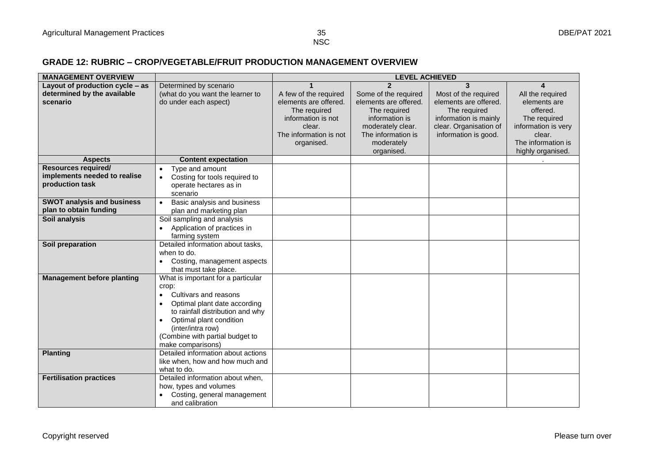#### **GRADE 12: RUBRIC – CROP/VEGETABLE/FRUIT PRODUCTION MANAGEMENT OVERVIEW**

| <b>MANAGEMENT OVERVIEW</b>                      |                                                      |                        | <b>LEVEL ACHIEVED</b>   |                        |                     |
|-------------------------------------------------|------------------------------------------------------|------------------------|-------------------------|------------------------|---------------------|
| Layout of production cycle – as                 | Determined by scenario                               |                        | $\overline{\mathbf{c}}$ | 3                      |                     |
| determined by the available                     | (what do you want the learner to                     | A few of the required  | Some of the required    | Most of the required   | All the required    |
| scenario                                        | do under each aspect)                                | elements are offered.  | elements are offered.   | elements are offered.  | elements are        |
|                                                 |                                                      | The required           | The required            | The required           | offered.            |
|                                                 |                                                      | information is not     | information is          | information is mainly  | The required        |
|                                                 |                                                      | clear.                 | moderately clear.       | clear. Organisation of | information is very |
|                                                 |                                                      | The information is not | The information is      | information is good.   | clear.              |
|                                                 |                                                      | organised.             | moderately              |                        | The information is  |
|                                                 |                                                      |                        | organised.              |                        | highly organised.   |
| <b>Aspects</b>                                  | <b>Content expectation</b>                           |                        |                         |                        |                     |
| <b>Resources required/</b>                      | Type and amount<br>$\bullet$                         |                        |                         |                        |                     |
| implements needed to realise<br>production task | Costing for tools required to<br>$\bullet$           |                        |                         |                        |                     |
|                                                 | operate hectares as in                               |                        |                         |                        |                     |
|                                                 | scenario                                             |                        |                         |                        |                     |
| <b>SWOT analysis and business</b>               | Basic analysis and business                          |                        |                         |                        |                     |
| plan to obtain funding                          | plan and marketing plan                              |                        |                         |                        |                     |
| Soil analysis                                   | Soil sampling and analysis                           |                        |                         |                        |                     |
|                                                 | Application of practices in                          |                        |                         |                        |                     |
|                                                 | farming system                                       |                        |                         |                        |                     |
| Soil preparation                                | Detailed information about tasks.                    |                        |                         |                        |                     |
|                                                 | when to do.                                          |                        |                         |                        |                     |
|                                                 | Costing, management aspects<br>that must take place. |                        |                         |                        |                     |
| <b>Management before planting</b>               | What is important for a particular                   |                        |                         |                        |                     |
|                                                 | crop:                                                |                        |                         |                        |                     |
|                                                 | Cultivars and reasons<br>$\bullet$                   |                        |                         |                        |                     |
|                                                 | Optimal plant date according                         |                        |                         |                        |                     |
|                                                 | to rainfall distribution and why                     |                        |                         |                        |                     |
|                                                 | Optimal plant condition                              |                        |                         |                        |                     |
|                                                 | (inter/intra row)                                    |                        |                         |                        |                     |
|                                                 | (Combine with partial budget to                      |                        |                         |                        |                     |
|                                                 | make comparisons)                                    |                        |                         |                        |                     |
| <b>Planting</b>                                 | Detailed information about actions                   |                        |                         |                        |                     |
|                                                 | like when, how and how much and                      |                        |                         |                        |                     |
|                                                 | what to do.                                          |                        |                         |                        |                     |
| <b>Fertilisation practices</b>                  | Detailed information about when,                     |                        |                         |                        |                     |
|                                                 | how, types and volumes                               |                        |                         |                        |                     |
|                                                 | Costing, general management                          |                        |                         |                        |                     |
|                                                 | and calibration                                      |                        |                         |                        |                     |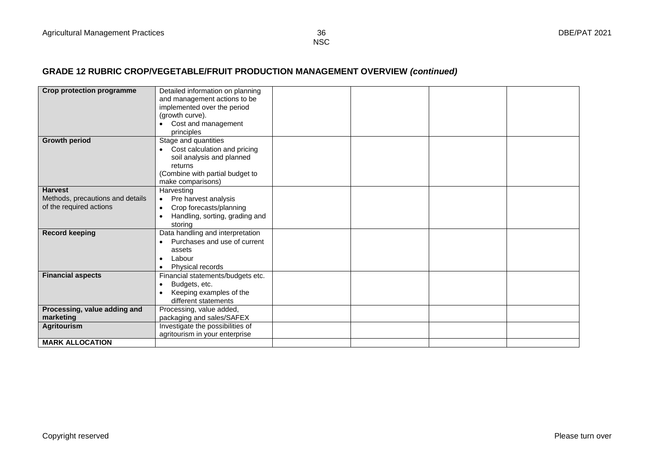## **GRADE 12 RUBRIC CROP/VEGETABLE/FRUIT PRODUCTION MANAGEMENT OVERVIEW** *(continued)*

| <b>Crop protection programme</b> | Detailed information on planning          |  |  |
|----------------------------------|-------------------------------------------|--|--|
|                                  | and management actions to be              |  |  |
|                                  | implemented over the period               |  |  |
|                                  | (growth curve).                           |  |  |
|                                  | Cost and management                       |  |  |
|                                  | principles                                |  |  |
| <b>Growth period</b>             | Stage and quantities                      |  |  |
|                                  | Cost calculation and pricing<br>$\bullet$ |  |  |
|                                  | soil analysis and planned                 |  |  |
|                                  | returns                                   |  |  |
|                                  |                                           |  |  |
|                                  | (Combine with partial budget to           |  |  |
|                                  | make comparisons)                         |  |  |
| <b>Harvest</b>                   | Harvesting                                |  |  |
| Methods, precautions and details | Pre harvest analysis<br>$\bullet$         |  |  |
| of the required actions          | Crop forecasts/planning                   |  |  |
|                                  | Handling, sorting, grading and            |  |  |
|                                  | storing                                   |  |  |
| <b>Record keeping</b>            | Data handling and interpretation          |  |  |
|                                  | Purchases and use of current              |  |  |
|                                  | assets                                    |  |  |
|                                  | Labour                                    |  |  |
|                                  | Physical records                          |  |  |
| <b>Financial aspects</b>         | Financial statements/budgets etc.         |  |  |
|                                  | Budgets, etc.                             |  |  |
|                                  | Keeping examples of the                   |  |  |
|                                  | different statements                      |  |  |
| Processing, value adding and     | Processing, value added,                  |  |  |
| marketing                        | packaging and sales/SAFEX                 |  |  |
| <b>Agritourism</b>               | Investigate the possibilities of          |  |  |
|                                  | agritourism in your enterprise            |  |  |
| <b>MARK ALLOCATION</b>           |                                           |  |  |

**NSC**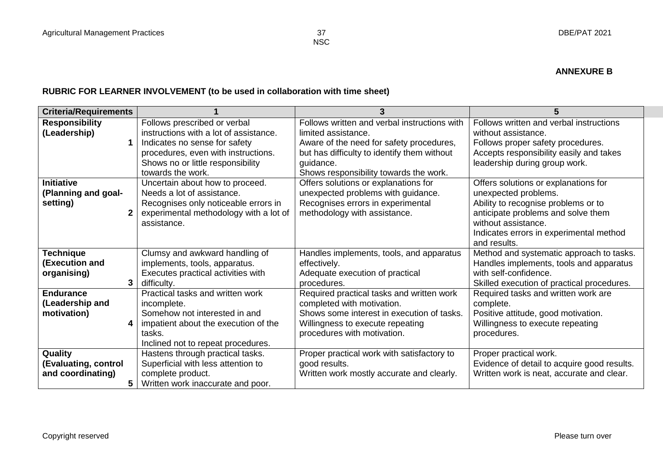#### **ANNEXURE B**

### **RUBRIC FOR LEARNER INVOLVEMENT (to be used in collaboration with time sheet)**

| <b>Criteria/Requirements</b> |                                        |                                              |                                             |
|------------------------------|----------------------------------------|----------------------------------------------|---------------------------------------------|
| <b>Responsibility</b>        | Follows prescribed or verbal           | Follows written and verbal instructions with | Follows written and verbal instructions     |
| (Leadership)                 | instructions with a lot of assistance. | limited assistance.                          | without assistance.                         |
|                              | Indicates no sense for safety          | Aware of the need for safety procedures,     | Follows proper safety procedures.           |
|                              | procedures, even with instructions.    | but has difficulty to identify them without  | Accepts responsibility easily and takes     |
|                              | Shows no or little responsibility      | quidance.                                    | leadership during group work.               |
|                              | towards the work.                      | Shows responsibility towards the work.       |                                             |
| <b>Initiative</b>            | Uncertain about how to proceed.        | Offers solutions or explanations for         | Offers solutions or explanations for        |
| (Planning and goal-          | Needs a lot of assistance.             | unexpected problems with guidance.           | unexpected problems.                        |
| setting)                     | Recognises only noticeable errors in   | Recognises errors in experimental            | Ability to recognise problems or to         |
| 2                            | experimental methodology with a lot of | methodology with assistance.                 | anticipate problems and solve them          |
|                              | assistance.                            |                                              | without assistance.                         |
|                              |                                        |                                              | Indicates errors in experimental method     |
|                              |                                        |                                              | and results.                                |
| Technique                    | Clumsy and awkward handling of         | Handles implements, tools, and apparatus     | Method and systematic approach to tasks.    |
| (Execution and               | implements, tools, apparatus.          | effectively.                                 | Handles implements, tools and apparatus     |
| organising)                  | Executes practical activities with     | Adequate execution of practical              | with self-confidence.                       |
| 3                            | difficulty.                            | procedures.                                  | Skilled execution of practical procedures.  |
| <b>Endurance</b>             | Practical tasks and written work       | Required practical tasks and written work    | Required tasks and written work are         |
| (Leadership and              | incomplete.                            | completed with motivation.                   | complete.                                   |
| motivation)                  | Somehow not interested in and          | Shows some interest in execution of tasks.   | Positive attitude, good motivation.         |
| 4                            | impatient about the execution of the   | Willingness to execute repeating             | Willingness to execute repeating            |
|                              | tasks.                                 | procedures with motivation.                  | procedures.                                 |
|                              | Inclined not to repeat procedures.     |                                              |                                             |
| Quality                      | Hastens through practical tasks.       | Proper practical work with satisfactory to   | Proper practical work.                      |
| (Evaluating, control         | Superficial with less attention to     | good results.                                | Evidence of detail to acquire good results. |
| and coordinating)            | complete product.                      | Written work mostly accurate and clearly.    | Written work is neat, accurate and clear.   |
| 5.                           | Written work inaccurate and poor.      |                                              |                                             |